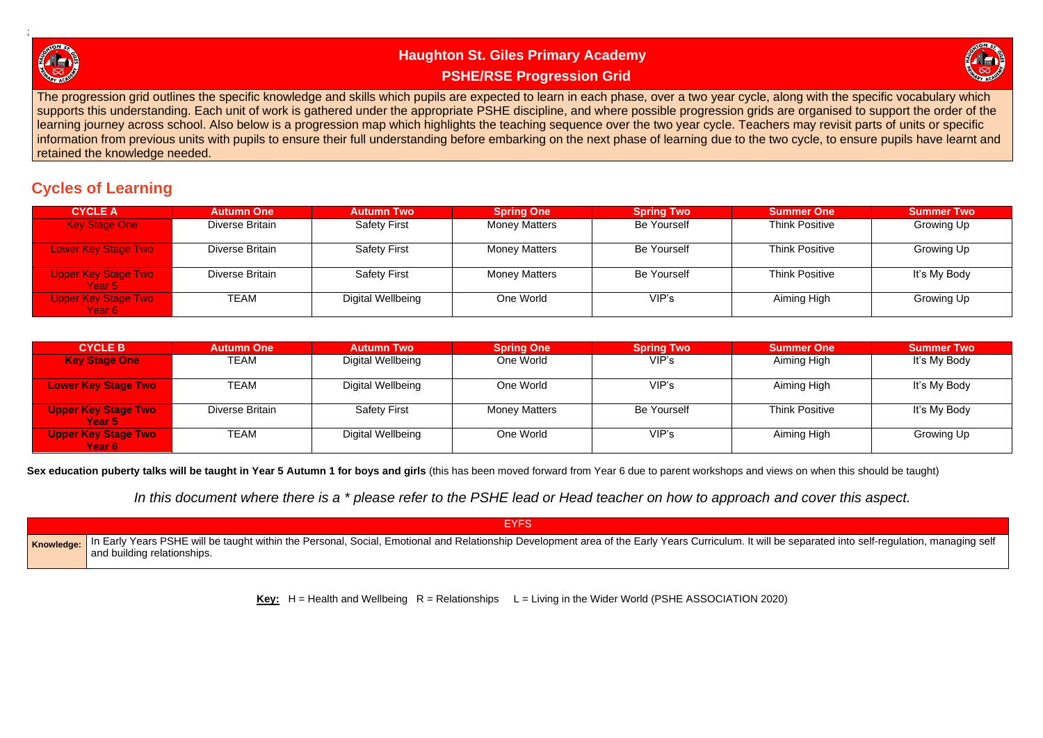

# **Haughton St. Giles Primary Academy PSHE/RSE Progression Grid**

The progression grid outlines the specific knowledge and skills which pupils are expected to learn in each phase, over a two year cycle, along with the specific vocabulary which supports this understanding. Each unit of work is gathered under the appropriate PSHE discipline, and where possible progression grids are organised to support the order of the learning journey across school. Also below is a progression map which highlights the teaching sequence over the two year cycle. Teachers may revisit parts of units or specific information from previous units with pupils to ensure their full understanding before embarking on the next phase of learning due to the two cycle, to ensure pupils have learnt and retained the knowledge needed.

# **Cycles of Learning**

| <b>CYCLE A</b>                       | <b>Autumn One</b> | <b>Autumn Two</b>        | <b>Spring One</b>    | <b>Spring Two</b>  | <b>Summer One</b>     | <b>Summer Two</b> |
|--------------------------------------|-------------------|--------------------------|----------------------|--------------------|-----------------------|-------------------|
| <b>Key Stage One</b>                 | Diverse Britain   | <b>Safety First</b>      | <b>Money Matters</b> | <b>Be Yourself</b> | <b>Think Positive</b> | Growing Up        |
| <b>Lower Key Stage Two</b>           | Diverse Britain   | <b>Safety First</b>      | <b>Money Matters</b> | <b>Be Yourself</b> | <b>Think Positive</b> | Growing Up        |
| <b>Upper Key Stage Two</b><br>Year 5 | Diverse Britain   | <b>Safety First</b>      | <b>Money Matters</b> | <b>Be Yourself</b> | <b>Think Positive</b> | It's My Body      |
| <b>Upper Key Stage Two</b><br>Year 6 | TEAM              | <b>Digital Wellbeing</b> | One World            | VIP's              | Aiming High           | Growing Up        |

| <b>CYCLE B</b>                       | <b>Autumn One</b> | <b>Autumn Two</b>        | <b>Spring One</b>    | <b>Spring Two</b>  | <b>Summer One</b>     | <b>Summer Two</b> |
|--------------------------------------|-------------------|--------------------------|----------------------|--------------------|-----------------------|-------------------|
| <b>Key Stage One</b>                 | TEAM              | Digital Wellbeing        | One World            | VIP's              | Aiming High           | It's My Body      |
| <b>Lower Key Stage Two</b>           | TEAM              | <b>Digital Wellbeing</b> | One World            | VIP's              | Aiming High           | It's My Body      |
| <b>Upper Key Stage Two</b><br>Year 5 | Diverse Britain   | <b>Safety First</b>      | <b>Money Matters</b> | <b>Be Yourself</b> | <b>Think Positive</b> | It's My Body      |
| <b>Upper Key Stage Two</b><br>Year 6 | TEAM              | <b>Digital Wellbeing</b> | One World            | VIP's              | Aiming High           | Growing Up        |

**Sex education puberty talks will be taught in Year 5 Autumn 1 for boys and girls** (this has been moved forward from Year 6 due to parent workshops and views on when this should be taught)

*In this document where there is a \* please refer to the PSHE lead or Head teacher on how to approach and cover this aspect.*

| EYFS                                                                                                                                                                                              |
|---------------------------------------------------------------------------------------------------------------------------------------------------------------------------------------------------|
| Knowledge: In Early Years PSHE will be taught within the Personal, Social, Emotional and Relationship Development area of the Early Years Curriculum. It will be s<br>and building relationships. |

**Key:**  $H =$  Health and Wellbeing  $R =$  Relationships  $L =$  Living in the Wider World (PSHE ASSOCIATION 2020)



separated into self-regulation, managing self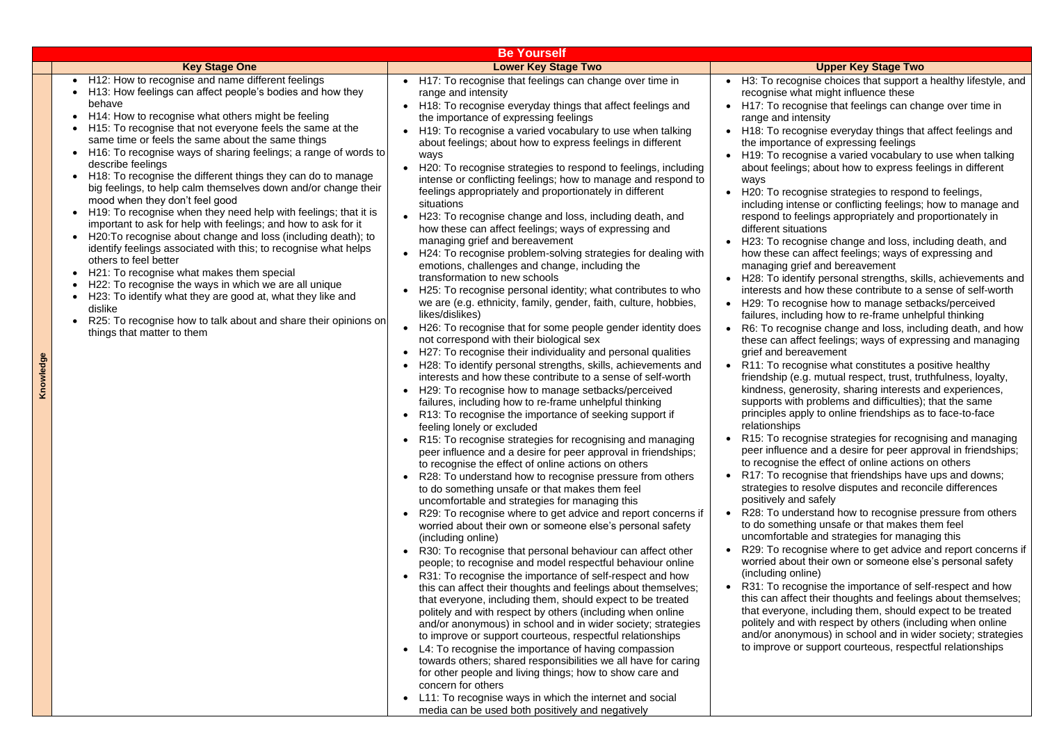anderstand how to recognise pressure from others nething unsafe or that makes them feel table and strategies for managing this ecognise where to get advice and report concerns if

#### **Upper Key Stage Two**

- cognise choices that support a healthy lifestyle, and what might influence these
- ecognise that feelings can change over time in d intensity
- ecognise everyday things that affect feelings and tance of expressing feelings
- ecognise a varied vocabulary to use when talking lings; about how to express feelings in different

ecognise strategies to respond to feelings, intense or conflicting feelings; how to manage and o feelings appropriately and proportionately in situations

ecognise change and loss, including death, and e can affect feelings; ways of expressing and grief and bereavement

dentify personal strengths, skills, achievements and and how these contribute to a sense of self-worth ecognise how to manage setbacks/perceived ncluding how to re-frame unhelpful thinking

cognise change and loss, including death, and how affect feelings; ways of expressing and managing bereavement

ecognise what constitutes a positive healthy (e.g. mutual respect, trust, truthfulness, loyalty, generosity, sharing interests and experiences, with problems and difficulties); that the same apply to online friendships as to face-to-face hips

ecognise strategies for recognising and managing ence and a desire for peer approval in friendships; ise the effect of online actions on others

ecognise that friendships have ups and downs; to resolve disputes and reconcile differences and safely

bout their own or someone else's personal safety online)

ecognise the importance of self-respect and how affect their thoughts and feelings about themselves; yone, including them, should expect to be treated nd with respect by others (including when online onymous) in school and in wider society; strategies e or support courteous, respectful relationships

|                                                                                                                                                                                                                                                                                                                                                                                                                                                                                                                                                                                                                                                                                                                                                                                                                                                                                                                                                                                                                                                                                                                                                                                                                                                                                               | <b>Be Yourself</b>                                                                                                                                                                                                                                                                                                                                                                                                                                                                                                                                                                                                                                                                                                                                                                                                                                                                                                                                                                                                                                                                                                                                                                                                                                                                                                                                                                                                                                                                                                                                                                                                                                                                                                                                                                                                                                                                                                                                                                                                                                                                                                                                                                                                                                                                                                                                                                                                                                                                                                                                                                                                                                                                                                                                                                                                                                                                                      |                                                                                                                                                                                                                                                                                                                                                                                                                                                                                                                                                                                                                                                                               |
|-----------------------------------------------------------------------------------------------------------------------------------------------------------------------------------------------------------------------------------------------------------------------------------------------------------------------------------------------------------------------------------------------------------------------------------------------------------------------------------------------------------------------------------------------------------------------------------------------------------------------------------------------------------------------------------------------------------------------------------------------------------------------------------------------------------------------------------------------------------------------------------------------------------------------------------------------------------------------------------------------------------------------------------------------------------------------------------------------------------------------------------------------------------------------------------------------------------------------------------------------------------------------------------------------|---------------------------------------------------------------------------------------------------------------------------------------------------------------------------------------------------------------------------------------------------------------------------------------------------------------------------------------------------------------------------------------------------------------------------------------------------------------------------------------------------------------------------------------------------------------------------------------------------------------------------------------------------------------------------------------------------------------------------------------------------------------------------------------------------------------------------------------------------------------------------------------------------------------------------------------------------------------------------------------------------------------------------------------------------------------------------------------------------------------------------------------------------------------------------------------------------------------------------------------------------------------------------------------------------------------------------------------------------------------------------------------------------------------------------------------------------------------------------------------------------------------------------------------------------------------------------------------------------------------------------------------------------------------------------------------------------------------------------------------------------------------------------------------------------------------------------------------------------------------------------------------------------------------------------------------------------------------------------------------------------------------------------------------------------------------------------------------------------------------------------------------------------------------------------------------------------------------------------------------------------------------------------------------------------------------------------------------------------------------------------------------------------------------------------------------------------------------------------------------------------------------------------------------------------------------------------------------------------------------------------------------------------------------------------------------------------------------------------------------------------------------------------------------------------------------------------------------------------------------------------------------------------------|-------------------------------------------------------------------------------------------------------------------------------------------------------------------------------------------------------------------------------------------------------------------------------------------------------------------------------------------------------------------------------------------------------------------------------------------------------------------------------------------------------------------------------------------------------------------------------------------------------------------------------------------------------------------------------|
| <b>Key Stage One</b>                                                                                                                                                                                                                                                                                                                                                                                                                                                                                                                                                                                                                                                                                                                                                                                                                                                                                                                                                                                                                                                                                                                                                                                                                                                                          | <b>Lower Key Stage Two</b>                                                                                                                                                                                                                                                                                                                                                                                                                                                                                                                                                                                                                                                                                                                                                                                                                                                                                                                                                                                                                                                                                                                                                                                                                                                                                                                                                                                                                                                                                                                                                                                                                                                                                                                                                                                                                                                                                                                                                                                                                                                                                                                                                                                                                                                                                                                                                                                                                                                                                                                                                                                                                                                                                                                                                                                                                                                                              |                                                                                                                                                                                                                                                                                                                                                                                                                                                                                                                                                                                                                                                                               |
| H12: How to recognise and name different feelings<br>$\bullet$<br>H13: How feelings can affect people's bodies and how they<br>behave<br>H14: How to recognise what others might be feeling<br>$\bullet$<br>H15: To recognise that not everyone feels the same at the<br>$\bullet$<br>same time or feels the same about the same things<br>H16: To recognise ways of sharing feelings; a range of words to<br>$\bullet$<br>describe feelings<br>H18: To recognise the different things they can do to manage<br>$\bullet$<br>big feelings, to help calm themselves down and/or change their<br>mood when they don't feel good<br>H19: To recognise when they need help with feelings; that it is<br>$\bullet$<br>important to ask for help with feelings; and how to ask for it<br>H20: To recognise about change and loss (including death); to<br>$\bullet$<br>identify feelings associated with this; to recognise what helps<br>others to feel better<br>H21: To recognise what makes them special<br>$\bullet$<br>H22: To recognise the ways in which we are all unique<br>$\bullet$<br>H23: To identify what they are good at, what they like and<br>$\bullet$<br>dislike<br>R25: To recognise how to talk about and share their opinions on<br>$\bullet$<br>things that matter to them | H17: To recognise that feelings can change over time in<br>$\bullet$<br>range and intensity<br>H18: To recognise everyday things that affect feelings and<br>the importance of expressing feelings<br>H19: To recognise a varied vocabulary to use when talking<br>about feelings; about how to express feelings in different<br>ways<br>H20: To recognise strategies to respond to feelings, including<br>intense or conflicting feelings; how to manage and respond to<br>feelings appropriately and proportionately in different<br>situations<br>H23: To recognise change and loss, including death, and<br>$\bullet$<br>how these can affect feelings; ways of expressing and<br>managing grief and bereavement<br>H24: To recognise problem-solving strategies for dealing with<br>emotions, challenges and change, including the<br>transformation to new schools<br>H25: To recognise personal identity; what contributes to who<br>we are (e.g. ethnicity, family, gender, faith, culture, hobbies,<br>likes/dislikes)<br>H26: To recognise that for some people gender identity does<br>not correspond with their biological sex<br>H27: To recognise their individuality and personal qualities<br>H28: To identify personal strengths, skills, achievements and<br>interests and how these contribute to a sense of self-worth<br>H29: To recognise how to manage setbacks/perceived<br>failures, including how to re-frame unhelpful thinking<br>R13: To recognise the importance of seeking support if<br>feeling lonely or excluded<br>R15: To recognise strategies for recognising and managing<br>peer influence and a desire for peer approval in friendships;<br>to recognise the effect of online actions on others<br>R28: To understand how to recognise pressure from others<br>to do something unsafe or that makes them feel<br>uncomfortable and strategies for managing this<br>R29: To recognise where to get advice and report concerns if<br>worried about their own or someone else's personal safety<br>(including online)<br>R30: To recognise that personal behaviour can affect other<br>people; to recognise and model respectful behaviour online<br>R31: To recognise the importance of self-respect and how<br>this can affect their thoughts and feelings about themselves;<br>that everyone, including them, should expect to be treated<br>politely and with respect by others (including when online<br>and/or anonymous) in school and in wider society; strategies<br>to improve or support courteous, respectful relationships<br>L4: To recognise the importance of having compassion<br>towards others; shared responsibilities we all have for caring<br>for other people and living things; how to show care and<br>concern for others<br>L11: To recognise ways in which the internet and social<br>media can be used both positively and negatively | H3: To ree<br>recognise<br>H17: To re<br>range and<br>H18: To re<br>the import<br>H19: To re<br>about feel<br>ways<br>H20: To re<br>including<br>respond to<br>different s<br>H23: To re<br>how these<br>managing<br>H <sub>28</sub> : To id<br>interests a<br>H29: To re<br>failures, ir<br>R6: To re<br>these can<br>grief and I<br>R11: To re<br>friendship<br>kindness,<br>supports<br>principles<br>relationsh<br>R15: To re<br>peer influe<br>to recogni<br>R17: To re<br>strategies<br>positively<br>R28: To u<br>to do som<br>uncomfort<br>R29: To re<br>worried al<br>(including<br>R31: To re<br>this can a<br>that every<br>politely ar<br>and/or an<br>to improve |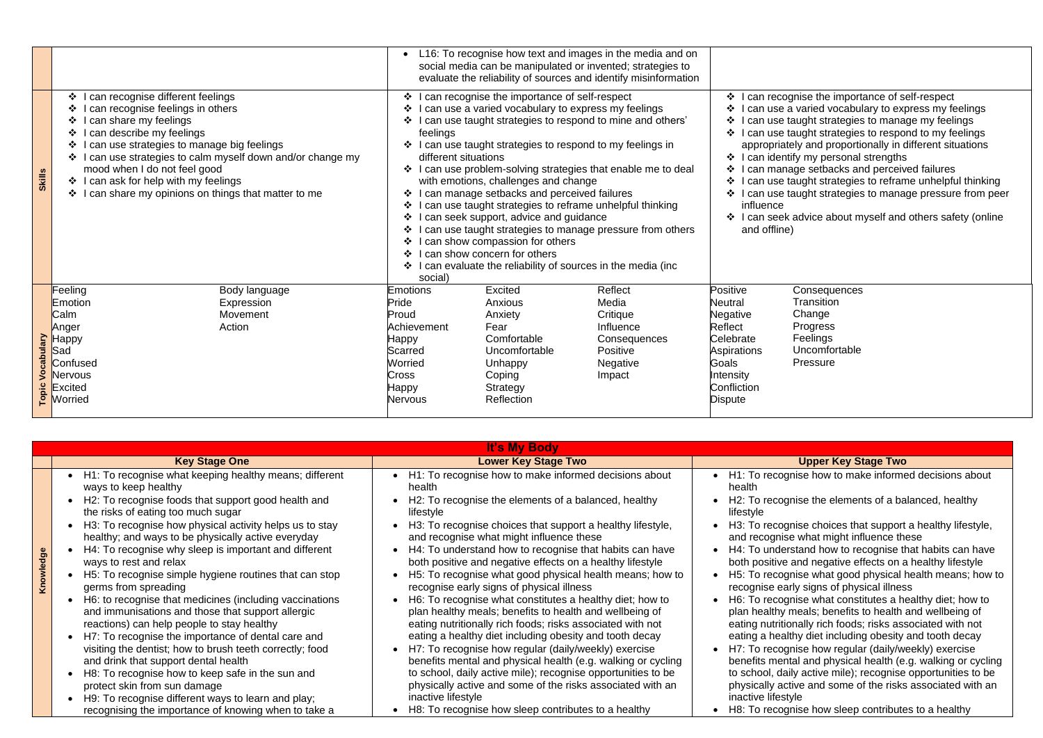|                         |                                                                                                                                                                                                                                                                                                                                                                                                                 |                                                                                                                                                                                                                                                                                                                                                                                                                                                                                                                                                                                                                                                                                                                                                                                     |                                                                                                                                                                                                                          | L16: To recognise how text and images in the media and on<br>social media can be manipulated or invented; strategies to<br>evaluate the reliability of sources and identify misinformation |                                                                                                                                                    |
|-------------------------|-----------------------------------------------------------------------------------------------------------------------------------------------------------------------------------------------------------------------------------------------------------------------------------------------------------------------------------------------------------------------------------------------------------------|-------------------------------------------------------------------------------------------------------------------------------------------------------------------------------------------------------------------------------------------------------------------------------------------------------------------------------------------------------------------------------------------------------------------------------------------------------------------------------------------------------------------------------------------------------------------------------------------------------------------------------------------------------------------------------------------------------------------------------------------------------------------------------------|--------------------------------------------------------------------------------------------------------------------------------------------------------------------------------------------------------------------------|--------------------------------------------------------------------------------------------------------------------------------------------------------------------------------------------|----------------------------------------------------------------------------------------------------------------------------------------------------|
| <b>Skills</b>           | I can recognise different feelings<br>$\cdot$<br>I can recognise feelings in others<br>❖<br>I can share my feelings<br>❖<br>I can describe my feelings<br>❖<br>I can use strategies to manage big feelings<br>❖<br>I can use strategies to calm myself down and/or change my<br>❖<br>mood when I do not feel good<br>I can ask for help with my feelings<br>I can share my opinions on things that matter to me | ❖ I can recognise the importance of self-respect<br>I can use a varied vocabulary to express my feelings<br>I can use taught strategies to respond to mine and others'<br>❖<br>feelings<br>I can use taught strategies to respond to my feelings in<br>different situations<br>I can use problem-solving strategies that enable me to deal<br>with emotions, challenges and change<br>I can manage setbacks and perceived failures<br>❖<br>I can use taught strategies to reframe unhelpful thinking<br>❖<br>I can seek support, advice and guidance<br>I can use taught strategies to manage pressure from others<br>I can show compassion for others<br>I can show concern for others<br>$\mathbf{A}$<br>❖ I can evaluate the reliability of sources in the media (inc<br>social) | $\cdot$<br>can reco<br>❖<br>can use<br>❖<br>can use<br>❖<br>can use<br>appropriat<br>$\frac{1}{2}$<br>can iden<br>❖<br>can man<br>❖<br>can use<br>❖<br>can use<br>influence<br>I can seek<br>$\mathbf{A}$<br>and offline |                                                                                                                                                                                            |                                                                                                                                                    |
| <b>Topic Vocabulary</b> | Feeling<br>Body language<br>Expression<br>Emotion<br>Movement<br>Calm<br>Action<br>Anger<br>Нарру<br>Sad<br>Confused<br><b>Nervous</b><br>Excited<br>Worried                                                                                                                                                                                                                                                    | <b>Emotions</b><br>Pride<br>Proud<br>Achievement<br><b>Happy</b><br>Scarred<br><b>Worried</b><br><b>Cross</b><br><b>Happy</b><br><b>Nervous</b>                                                                                                                                                                                                                                                                                                                                                                                                                                                                                                                                                                                                                                     | <b>Excited</b><br>Anxious<br>Anxiety<br>Fear<br>Comfortable<br>Uncomfortable<br>Unhappy<br>Coping<br>Strategy<br>Reflection                                                                                              | <b>Reflect</b><br>Media<br>Critique<br>Influence<br>Consequences<br>Positive<br><b>Negative</b><br>Impact                                                                                  | Positive<br><b>Neutral</b><br>Negative<br><b>Reflect</b><br>Celebrate<br><b>Aspirations</b><br>Goals<br>Intensity<br>Confliction<br><b>Dispute</b> |

**Consequences Transition Change** Progress Feelings Uncomfortable Pressure

**Key Stage Two** 

nise how to make informed decisions about

inise the elements of a balanced, healthy

inise choices that support a healthy lifestyle, and what might influence these

rstand how to recognise that habits can have and negative effects on a healthy lifestyle inise what good physical health means; how to arly signs of physical illness

inise what constitutes a healthy diet; how to  $\epsilon$  meals; benefits to health and wellbeing of onally rich foods; risks associated with not Ithy diet including obesity and tooth decay  $\frac{1}{2}$  in ise how regular (daily/weekly) exercise  $\tilde{\bm{\theta}}$ ital and physical health (e.g. walking or cycling

illy active mile); recognise opportunities to be tive and some of the risks associated with an vle.

inise how sleep contributes to a healthy

|           |                                                                                                                                                                                                                                                                                                                                                                                                                                                                                                                                                                                                                                                                                                                                                                                                                                                                                                                                                                                               | It's My Body                                                                                                                                                                                                                                                                                                                                                                                                                                                                                                                                                                                                                                                                                                                                                                                                                                                                                                                                                                                                                                                                    |                                                                                                                                                                                                                                                                                                                                                                      |
|-----------|-----------------------------------------------------------------------------------------------------------------------------------------------------------------------------------------------------------------------------------------------------------------------------------------------------------------------------------------------------------------------------------------------------------------------------------------------------------------------------------------------------------------------------------------------------------------------------------------------------------------------------------------------------------------------------------------------------------------------------------------------------------------------------------------------------------------------------------------------------------------------------------------------------------------------------------------------------------------------------------------------|---------------------------------------------------------------------------------------------------------------------------------------------------------------------------------------------------------------------------------------------------------------------------------------------------------------------------------------------------------------------------------------------------------------------------------------------------------------------------------------------------------------------------------------------------------------------------------------------------------------------------------------------------------------------------------------------------------------------------------------------------------------------------------------------------------------------------------------------------------------------------------------------------------------------------------------------------------------------------------------------------------------------------------------------------------------------------------|----------------------------------------------------------------------------------------------------------------------------------------------------------------------------------------------------------------------------------------------------------------------------------------------------------------------------------------------------------------------|
|           | <b>Key Stage One</b>                                                                                                                                                                                                                                                                                                                                                                                                                                                                                                                                                                                                                                                                                                                                                                                                                                                                                                                                                                          | <b>Lower Key Stage Two</b>                                                                                                                                                                                                                                                                                                                                                                                                                                                                                                                                                                                                                                                                                                                                                                                                                                                                                                                                                                                                                                                      |                                                                                                                                                                                                                                                                                                                                                                      |
| Knowledge | • H1: To recognise what keeping healthy means; different<br>ways to keep healthy<br>H2: To recognise foods that support good health and<br>the risks of eating too much sugar<br>H3: To recognise how physical activity helps us to stay<br>healthy; and ways to be physically active everyday<br>H4: To recognise why sleep is important and different<br>ways to rest and relax<br>H5: To recognise simple hygiene routines that can stop<br>germs from spreading<br>H6: to recognise that medicines (including vaccinations<br>and immunisations and those that support allergic<br>reactions) can help people to stay healthy<br>H7: To recognise the importance of dental care and<br>visiting the dentist; how to brush teeth correctly; food<br>and drink that support dental health<br>H8: To recognise how to keep safe in the sun and<br>protect skin from sun damage<br>H9: To recognise different ways to learn and play;<br>recognising the importance of knowing when to take a | H1: To recognise how to make informed decisions about<br>$\bullet$<br>health<br>H2: To recognise the elements of a balanced, healthy<br>lifestyle<br>H3: To recognise choices that support a healthy lifestyle,<br>and recognise what might influence these<br>H4: To understand how to recognise that habits can have<br>both positive and negative effects on a healthy lifestyle<br>H5: To recognise what good physical health means; how to<br>recognise early signs of physical illness<br>H6: To recognise what constitutes a healthy diet; how to<br>plan healthy meals; benefits to health and wellbeing of<br>eating nutritionally rich foods; risks associated with not<br>eating a healthy diet including obesity and tooth decay<br>H7: To recognise how regular (daily/weekly) exercise<br>benefits mental and physical health (e.g. walking or cycling<br>to school, daily active mile); recognise opportunities to be<br>physically active and some of the risks associated with an<br>inactive lifestyle<br>H8: To recognise how sleep contributes to a healthy | H1: To recog<br>$\bullet$<br>health<br>H <sub>2</sub> : To recog<br>lifestyle<br>H3: To recog<br>and recognis<br>H4: To under<br>both positive<br>H <sub>5</sub> : To recog<br>recognise ea<br>H6: To recog<br>plan healthy<br>eating nutritio<br>eating a heal<br>H7: To recog<br>benefits men<br>to school, da<br>physically ac<br>inactive lifest<br>H8: To recog |

ognise the importance of self-respect a varied vocabulary to express my feelings taught strategies to manage my feelings taught strategies to respond to my feelings tely and proportionally in different situations htify my personal strengths nage setbacks and perceived failures taught strategies to reframe unhelpful thinking taught strategies to manage pressure from peer

advice about myself and others safety (online e)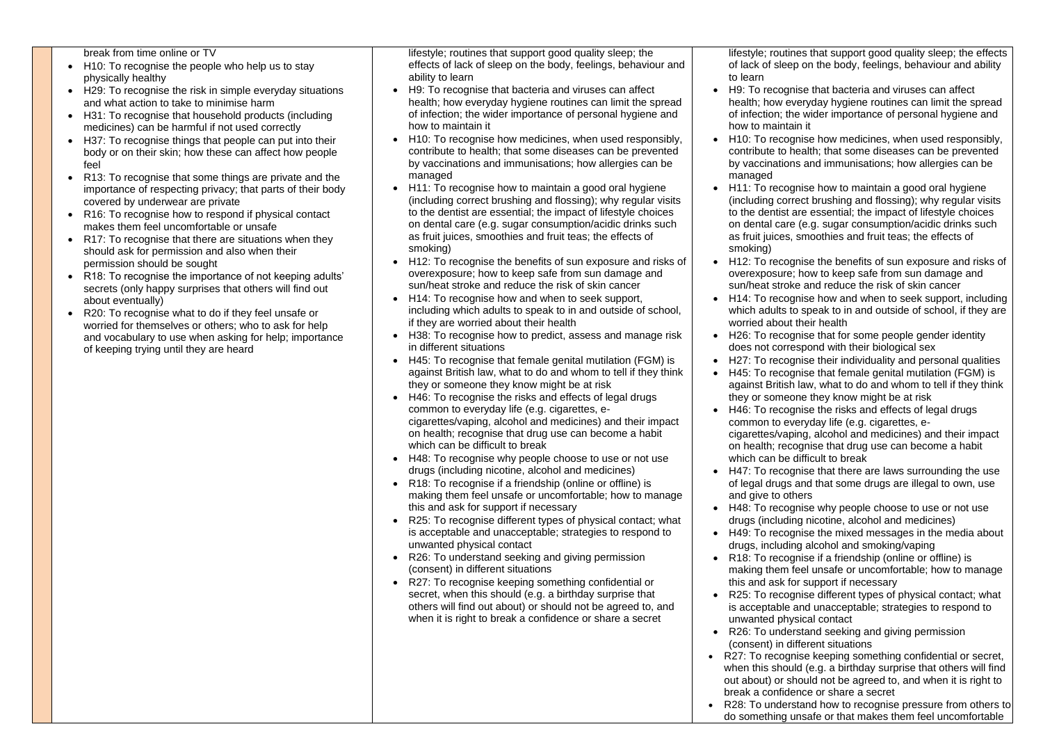of keeping trying until they are heard

break from time online or TV • H10: To recognise the people who help us to stay physically healthy • H29: To recognise the risk in simple everyday situations and what action to take to minimise harm • H31: To recognise that household products (including medicines) can be harmful if not used correctly • H37: To recognise things that people can put into their body or on their skin; how these can affect how people feel • R13: To recognise that some things are private and the importance of respecting privacy; that parts of their body covered by underwear are private • R16: To recognise how to respond if physical contact makes them feel uncomfortable or unsafe • R17: To recognise that there are situations when they should ask for permission and also when their permission should be sought • R18: To recognise the importance of not keeping adults' secrets (only happy surprises that others will find out about eventually) • R20: To recognise what to do if they feel unsafe or worried for themselves or others; who to ask for help and vocabulary to use when asking for help; importance lifestyle; routines that support good quality sleep; the effects of lack of sleep on the body, feelings, behaviour and ability to learn • H9: To recognise that bacteria and viruses can affect health; how everyday hygiene routines can limit the spread of infection; the wider importance of personal hygiene and how to maintain it • H10: To recognise how medicines, when used responsibly, contribute to health; that some diseases can be prevented by vaccinations and immunisations; how allergies can be managed • H11: To recognise how to maintain a good oral hygiene (including correct brushing and flossing); why regular visits to the dentist are essential; the impact of lifestyle choices on dental care (e.g. sugar consumption/acidic drinks such as fruit juices, smoothies and fruit teas; the effects of smoking) • H12: To recognise the benefits of sun exposure and risks of overexposure; how to keep safe from sun damage and sun/heat stroke and reduce the risk of skin cancer • H14: To recognise how and when to seek support, including which adults to speak to in and outside of school, if they are worried about their health

• H11: To recognise how to maintain a good oral hygiene (including correct brushing and flossing); why regular visits to the dentist are essential; the impact of lifestyle choices on dental care (e.g. sugar consumption/acidic drinks such as fruit juices, smoothies and fruit teas; the effects of

- H38: To recognise how to predict, assess and manage risk in different situations
- H45: To recognise that female genital mutilation (FGM) is against British law, what to do and whom to tell if they think they or someone they know might be at risk
- H46: To recognise the risks and effects of legal drugs common to everyday life (e.g. cigarettes, ecigarettes/vaping, alcohol and medicines) and their impact on health; recognise that drug use can become a habit which can be difficult to break
- H48: To recognise why people choose to use or not use drugs (including nicotine, alcohol and medicines)
- R18: To recognise if a friendship (online or offline) is making them feel unsafe or uncomfortable; how to manage this and ask for support if necessary
- R25: To recognise different types of physical contact; what is acceptable and unacceptable; strategies to respond to unwanted physical contact
- R26: To understand seeking and giving permission (consent) in different situations
- R27: To recognise keeping something confidential or secret, when this should (e.g. a birthday surprise that others will find out about) or should not be agreed to, and when it is right to break a confidence or share a secret

- H46: To recognise the risks and effects of legal drugs common to everyday life (e.g. cigarettes, e
	- cigarettes/vaping, alcohol and medicines) and their impact on health; recognise that drug use can become a habit which can be difficult to break
- H48: To recognise why people choose to use or not use drugs (including nicotine, alcohol and medicines)
	- making them feel unsafe or uncomfortable; how to manage this and ask for support if necessary
- R26: To understand seeking and giving permission (consent) in different situations
- R27: To recognise keeping something confidential or secret, when this should (e.g. a birthday surprise that others will find out about) or should not be agreed to, and when it is right to break a confidence or share a secret
	- R28: To understand how to recognise pressure from others to do something unsafe or that makes them feel uncomfortable

lifestyle; routines that support good quality sleep; the effects of lack of sleep on the body, feelings, behaviour and ability

to learn

• H12: To recognise the benefits of sun exposure and risks of overexposure; how to keep safe from sun damage and sun/heat stroke and reduce the risk of skin cancer

- H9: To recognise that bacteria and viruses can affect health; how everyday hygiene routines can limit the spread of infection; the wider importance of personal hygiene and how to maintain it
- H10: To recognise how medicines, when used responsibly, contribute to health; that some diseases can be prevented by vaccinations and immunisations; how allergies can be managed
- smoking)
- 
- H14: To recognise how and when to seek support, including which adults to speak to in and outside of school, if they are worried about their health
- H26: To recognise that for some people gender identity does not correspond with their biological sex
- H27: To recognise their individuality and personal qualities • H45: To recognise that female genital mutilation (FGM) is against British law, what to do and whom to tell if they think they or someone they know might be at risk
- 
- H47: To recognise that there are laws surrounding the use of legal drugs and that some drugs are illegal to own, use and give to others
- 
- H49: To recognise the mixed messages in the media about drugs, including alcohol and smoking/vaping • R18: To recognise if a friendship (online or offline) is
- 
- R25: To recognise different types of physical contact; what is acceptable and unacceptable; strategies to respond to unwanted physical contact
-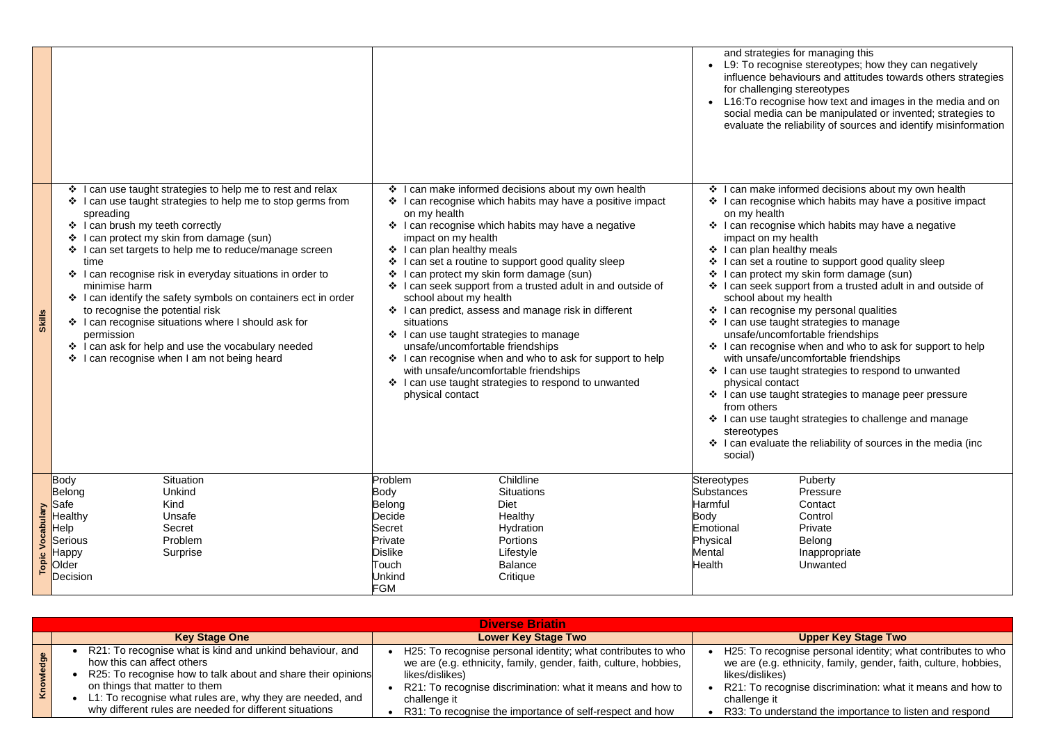**Puberty** Pressure **Contact Control** Private Belong Inappropriate Unwanted

## **Key Stage Two**

gnise personal identity; what contributes to who ethnicity, family, gender, faith, culture, hobbies,

gnise discrimination: what it means and how to

erstand the importance to listen and respond

|                     |                                                                                                                                                                                                                                                                                                                                                     |                                                                                                                                                                                                                                                                                                                  |                                                                                                                           |                                                                                                                                                                                                                                                            |                                                                                                                                                                                                                                                                                                                                                                                                                                                                                                                  |                                                                                                  | and strategies<br>L9: To recogr<br>influence beh<br>for challengin<br>L16: To recog<br>social media<br>evaluate the r                                                                                                                                                                                                                                                                                                        |
|---------------------|-----------------------------------------------------------------------------------------------------------------------------------------------------------------------------------------------------------------------------------------------------------------------------------------------------------------------------------------------------|------------------------------------------------------------------------------------------------------------------------------------------------------------------------------------------------------------------------------------------------------------------------------------------------------------------|---------------------------------------------------------------------------------------------------------------------------|------------------------------------------------------------------------------------------------------------------------------------------------------------------------------------------------------------------------------------------------------------|------------------------------------------------------------------------------------------------------------------------------------------------------------------------------------------------------------------------------------------------------------------------------------------------------------------------------------------------------------------------------------------------------------------------------------------------------------------------------------------------------------------|--------------------------------------------------------------------------------------------------|------------------------------------------------------------------------------------------------------------------------------------------------------------------------------------------------------------------------------------------------------------------------------------------------------------------------------------------------------------------------------------------------------------------------------|
| Skills              | $\ddot{\cdot}$<br>spreading<br>❖ I can brush my teeth correctly<br>I can protect my skin from damage (sun)<br>❖<br>time<br>minimise harm<br>to recognise the potential risk<br>❖ I can recognise situations where I should ask for<br>permission<br>❖ I can ask for help and use the vocabulary needed<br>I can recognise when I am not being heard | I can use taught strategies to help me to rest and relax<br>❖ I can use taught strategies to help me to stop germs from<br>❖ I can set targets to help me to reduce/manage screen<br>❖ I can recognise risk in everyday situations in order to<br>❖ I can identify the safety symbols on containers ect in order | $\ddot{\bullet}$                                                                                                          | on my health<br>impact on my health<br>❖ I can plan healthy meals<br>school about my health<br>situations<br>$\div$ I can use taught strategies to manage<br>unsafe/uncomfortable friendships<br>with unsafe/uncomfortable friendships<br>physical contact | I can make informed decisions about my own health<br>❖ I can recognise which habits may have a positive impact<br>❖ I can recognise which habits may have a negative<br>❖ I can set a routine to support good quality sleep<br>can protect my skin form damage (sun)<br>❖ I can seek support from a trusted adult in and outside of<br>❖ I can predict, assess and manage risk in different<br>❖ I can recognise when and who to ask for support to help<br>❖ I can use taught strategies to respond to unwanted | $\ddot{\bullet}$<br>❖<br>❖<br>❖                                                                  | I can make in<br>I can recognis<br>on my health<br>I can recognis<br>impact on my<br>I can plan hea<br>I can set a rou<br>I can protect r<br>❖ I can seek su<br>school about<br>$\div$ I can recognis<br>❖ I can use taug<br>unsafe/uncom<br>$\cdot$ I can recognis<br>with unsafe/u<br>❖ I can use taug<br>physical conta<br>❖ I can use taude<br>from others<br>I can use taug<br>stereotypes<br>I can evaluate<br>social) |
| Vocabulary<br>Topic | Body<br>Situation<br>Belong<br>Unkind<br>Kind<br>Safe<br>Healthy<br>Unsafe<br>Help<br><b>Secret</b><br>Problem<br><b>Serious</b><br>Surprise<br>Нарру<br>Older<br>Decision                                                                                                                                                                          |                                                                                                                                                                                                                                                                                                                  | Problem<br><b>Body</b><br>Belong<br>Decide<br>Secret<br>Private<br><b>Dislike</b><br>Touch<br><b>Unkind</b><br><b>FGM</b> |                                                                                                                                                                                                                                                            | Childline<br><b>Situations</b><br><b>Diet</b><br>Healthy<br>Hydration<br>Portions<br>Lifestyle<br><b>Balance</b><br>Critique                                                                                                                                                                                                                                                                                                                                                                                     | Stereotypes<br>Substances<br>Harmful<br>Body<br>Emotional<br>Physical<br>Mental<br><b>Health</b> |                                                                                                                                                                                                                                                                                                                                                                                                                              |

|                               |                                                                                                                                                                                                                                                                                                                 | <b>Diverse Briatin</b>                                                                                                                                                                                                                                                                        |                                                                                                                |
|-------------------------------|-----------------------------------------------------------------------------------------------------------------------------------------------------------------------------------------------------------------------------------------------------------------------------------------------------------------|-----------------------------------------------------------------------------------------------------------------------------------------------------------------------------------------------------------------------------------------------------------------------------------------------|----------------------------------------------------------------------------------------------------------------|
|                               | <b>Key Stage One</b>                                                                                                                                                                                                                                                                                            | <b>Lower Key Stage Two</b>                                                                                                                                                                                                                                                                    |                                                                                                                |
| $\mathbf{\underline{\omega}}$ | R21: To recognise what is kind and unkind behaviour, and<br>how this can affect others<br>R25: To recognise how to talk about and share their opinions<br>on things that matter to them<br>L1: To recognise what rules are, why they are needed, and<br>why different rules are needed for different situations | H25: To recognise personal identity; what contributes to who<br>we are (e.g. ethnicity, family, gender, faith, culture, hobbies,<br>likes/dislikes)<br>R21: To recognise discrimination: what it means and how to<br>challenge it<br>R31: To recognise the importance of self-respect and how | H <sub>25</sub> : To reco<br>we are (e.g. e<br>likes/dislikes)<br>R21: To reco<br>challenge it<br>R33: To unde |

s for managing this nise stereotypes; how they can negatively iaviours and attitudes towards others strategies ig stereotypes Inise how text and images in the media and on can be manipulated or invented; strategies to reliability of sources and identify misinformation

iformed decisions about my own health se which habits may have a positive impact

- se which habits may have a negative health
- althy meals
- utine to support good quality sleep
- my skin form damage (sun)
- upport from a trusted adult in and outside of my health
- se my personal qualities
- ght strategies to manage
- nfortable friendships
- se when and who to ask for support to help
- incomfortable friendships
- ght strategies to respond to unwanted act
- ght strategies to manage peer pressure
- ght strategies to challenge and manage
- e the reliability of sources in the media (inc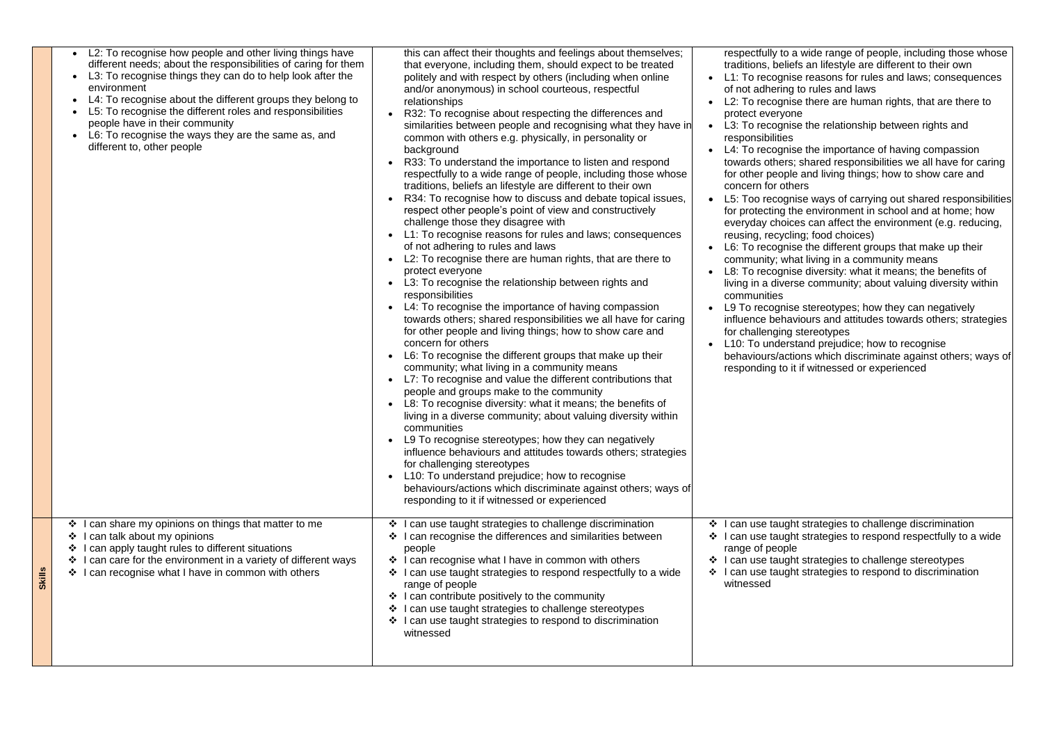|               | L2: To recognise how people and other living things have<br>different needs; about the responsibilities of caring for them<br>L3: To recognise things they can do to help look after the<br>$\bullet$<br>environment<br>L4: To recognise about the different groups they belong to<br>L5: To recognise the different roles and responsibilities<br>people have in their community<br>L6: To recognise the ways they are the same as, and<br>different to, other people | this can affect their thoughts and feelings about themselves;<br>that everyone, including them, should expect to be treated<br>politely and with respect by others (including when online<br>and/or anonymous) in school courteous, respectful<br>relationships<br>R32: To recognise about respecting the differences and<br>similarities between people and recognising what they have in<br>common with others e.g. physically, in personality or<br>background<br>R33: To understand the importance to listen and respond<br>respectfully to a wide range of people, including those whose<br>traditions, beliefs an lifestyle are different to their own<br>R34: To recognise how to discuss and debate topical issues,<br>respect other people's point of view and constructively<br>challenge those they disagree with<br>L1: To recognise reasons for rules and laws; consequences<br>of not adhering to rules and laws<br>L2: To recognise there are human rights, that are there to<br>protect everyone<br>L3: To recognise the relationship between rights and<br>responsibilities<br>L4: To recognise the importance of having compassion<br>towards others; shared responsibilities we all have for caring<br>for other people and living things; how to show care and<br>concern for others<br>L6: To recognise the different groups that make up their<br>community; what living in a community means<br>L7: To recognise and value the different contributions that<br>people and groups make to the community<br>L8: To recognise diversity: what it means; the benefits of<br>living in a diverse community; about valuing diversity within<br>communities<br>L9 To recognise stereotypes; how they can negatively<br>influence behaviours and attitudes towards others; strategies<br>for challenging stereotypes<br>L10: To understand prejudice; how to recognise<br>behaviours/actions which discriminate against others; ways of<br>responding to it if witnessed or experienced | respectfully to a<br>traditions, belief<br>L1: To recognis<br>$\bullet$<br>of not adhering<br>L2: To recognis<br>protect everyon<br>L3: To recognis<br>$\bullet$<br>responsibilities<br>L4: To recognis<br>towards others;<br>for other people<br>concern for othe<br>L5: Too recogni<br>$\bullet$<br>for protecting th<br>everyday choice<br>reusing, recyclin<br>L6: To recognis<br>$\bullet$<br>community; wha<br>L8: To recognis<br>living in a divers<br>communities<br>L9 To recognise<br>influence behav<br>for challenging<br>L10: To underst<br>behaviours/action<br>responding to it |
|---------------|------------------------------------------------------------------------------------------------------------------------------------------------------------------------------------------------------------------------------------------------------------------------------------------------------------------------------------------------------------------------------------------------------------------------------------------------------------------------|--------------------------------------------------------------------------------------------------------------------------------------------------------------------------------------------------------------------------------------------------------------------------------------------------------------------------------------------------------------------------------------------------------------------------------------------------------------------------------------------------------------------------------------------------------------------------------------------------------------------------------------------------------------------------------------------------------------------------------------------------------------------------------------------------------------------------------------------------------------------------------------------------------------------------------------------------------------------------------------------------------------------------------------------------------------------------------------------------------------------------------------------------------------------------------------------------------------------------------------------------------------------------------------------------------------------------------------------------------------------------------------------------------------------------------------------------------------------------------------------------------------------------------------------------------------------------------------------------------------------------------------------------------------------------------------------------------------------------------------------------------------------------------------------------------------------------------------------------------------------------------------------------------------------------------------------------------------------------------------------------------|------------------------------------------------------------------------------------------------------------------------------------------------------------------------------------------------------------------------------------------------------------------------------------------------------------------------------------------------------------------------------------------------------------------------------------------------------------------------------------------------------------------------------------------------------------------------------------------------|
| <b>Skills</b> | can share my opinions on things that matter to me<br>❖<br>can talk about my opinions<br>❖<br>can apply taught rules to different situations<br>❖<br>can care for the environment in a variety of different ways<br>❖<br>can recognise what I have in common with others                                                                                                                                                                                                | ❖ I can use taught strategies to challenge discrimination<br>I can recognise the differences and similarities between<br>people<br>I can recognise what I have in common with others<br>$\cdot$<br>can use taught strategies to respond respectfully to a wide<br>range of people<br>❖ I can contribute positively to the community<br>I can use taught strategies to challenge stereotypes<br>❖<br>❖ I can use taught strategies to respond to discrimination<br>witnessed                                                                                                                                                                                                                                                                                                                                                                                                                                                                                                                                                                                                                                                                                                                                                                                                                                                                                                                                                                                                                                                                                                                                                                                                                                                                                                                                                                                                                                                                                                                            | I can use taugh<br>$\cdot$<br>I can use taugh<br>❖<br>range of people<br>I can use taugh<br>$\frac{1}{2}$<br>I can use taugh<br>$\cdot$<br>witnessed                                                                                                                                                                                                                                                                                                                                                                                                                                           |
|               |                                                                                                                                                                                                                                                                                                                                                                                                                                                                        |                                                                                                                                                                                                                                                                                                                                                                                                                                                                                                                                                                                                                                                                                                                                                                                                                                                                                                                                                                                                                                                                                                                                                                                                                                                                                                                                                                                                                                                                                                                                                                                                                                                                                                                                                                                                                                                                                                                                                                                                        |                                                                                                                                                                                                                                                                                                                                                                                                                                                                                                                                                                                                |

- a wide range of people, including those whose efs an lifestyle are different to their own se reasons for rules and laws; consequences g to rules and laws
- se there are human rights, that are there to ne
- se the relationship between rights and
- ise the importance of having compassion s; shared responsibilities we all have for caring
- le and living things; how to show care and **ners**
- nise ways of carrying out shared responsibilities the environment in school and at home; how ces can affect the environment (e.g. reducing, ling; food choices)
- ise the different groups that make up their hat living in a community means
- se diversity: what it means; the benefits of rse community; about valuing diversity within
- e stereotypes; how they can negatively viours and attitudes towards others; strategies stereotypes
- stand prejudice; how to recognise
- tions which discriminate against others; ways of it if witnessed or experienced

ht strategies to challenge discrimination ht strategies to respond respectfully to a wide

ht strategies to challenge stereotypes ht strategies to respond to discrimination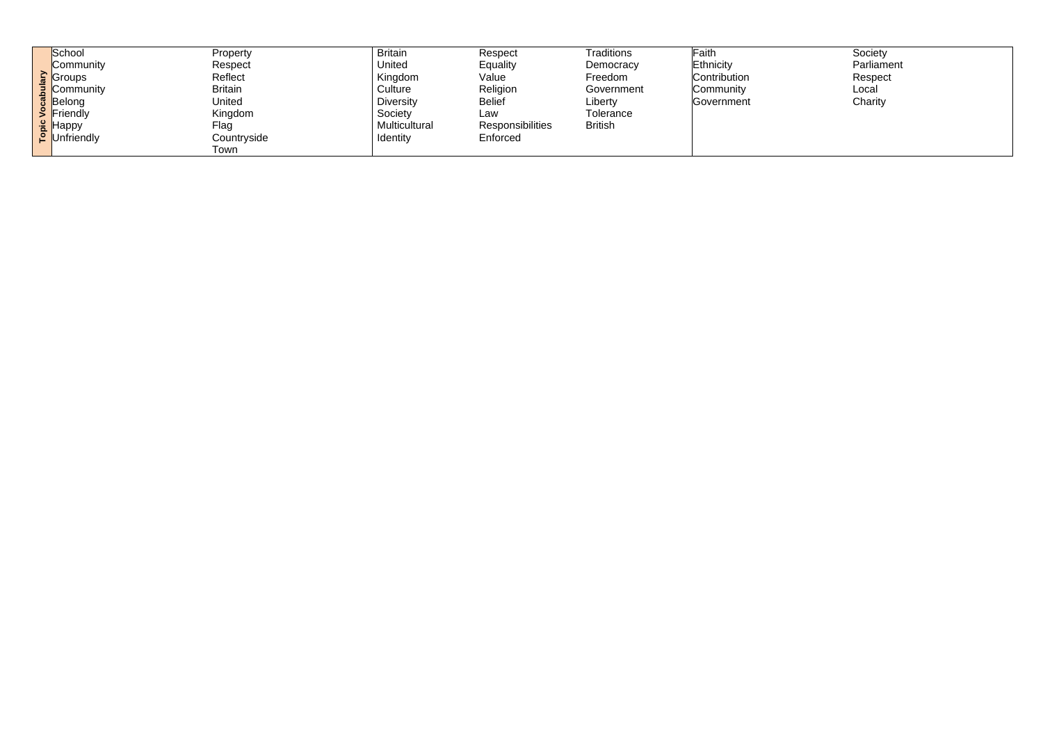|                  | School        | Property       | <b>Britain</b>   | Respect                 | <b>Traditions</b> | Faith        |
|------------------|---------------|----------------|------------------|-------------------------|-------------------|--------------|
|                  | Community     | Respect        | <b>United</b>    | Equality                | Democracy         | Ethnicity    |
|                  | <b>Groups</b> | Reflect        | Kingdom          | Value                   | Freedom           | Contribution |
| 3.               | Community     | <b>Britain</b> | Culture          | Religion                | Government        | Community    |
| ည္သ              | Belong        | United         | <b>Diversity</b> | <b>Belief</b>           | Liberty           | Government   |
|                  | Friendly      | Kingdom        | Society          | Law                     | Tolerance         |              |
| $\frac{c}{\rho}$ | Нарру         | Flag           | Multicultural    | <b>Responsibilities</b> | <b>British</b>    |              |
|                  | Unfriendly    | Countryside    | Identity         | Enforced                |                   |              |
|                  |               | Town           |                  |                         |                   |              |

Society Parliament Respect Local Charity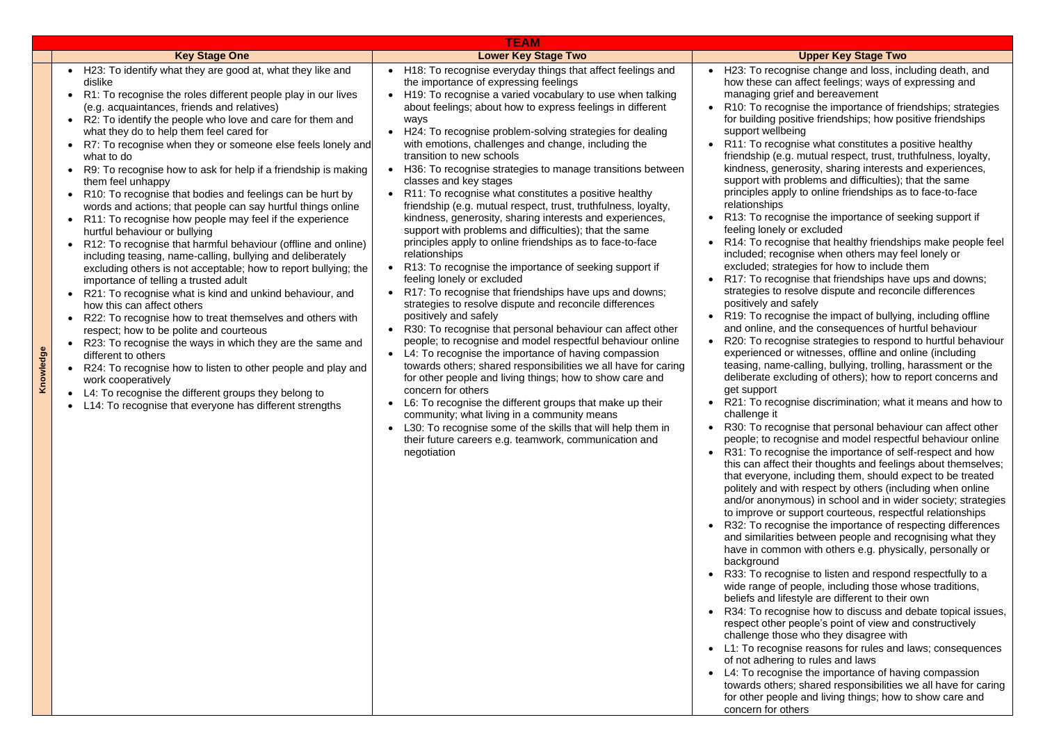|           |                                                                                                                                                                                                                                                                                                                                                                                                                                                                                                                                                                                                                                                                                                                                                                                                                                                                                                                                                                                                                                                                                                                                                                                                                                                                                                                                                                                                                                         | <b>TEAM</b>                                                                                                                                                                                                                                                                                                                                                                                                                                                                                                                                                                                                                                                                                                                                                                                                                                                                                                                                                                                                                                                                                                                                                                                                                                                                                                                                                                                                                                                                                                                                                                                                                                                |                                                                                                                                                                                                                                                                                                                                                                                                                                                                                                                                                                                                                                                                                                                                                                                                                                                                             |
|-----------|-----------------------------------------------------------------------------------------------------------------------------------------------------------------------------------------------------------------------------------------------------------------------------------------------------------------------------------------------------------------------------------------------------------------------------------------------------------------------------------------------------------------------------------------------------------------------------------------------------------------------------------------------------------------------------------------------------------------------------------------------------------------------------------------------------------------------------------------------------------------------------------------------------------------------------------------------------------------------------------------------------------------------------------------------------------------------------------------------------------------------------------------------------------------------------------------------------------------------------------------------------------------------------------------------------------------------------------------------------------------------------------------------------------------------------------------|------------------------------------------------------------------------------------------------------------------------------------------------------------------------------------------------------------------------------------------------------------------------------------------------------------------------------------------------------------------------------------------------------------------------------------------------------------------------------------------------------------------------------------------------------------------------------------------------------------------------------------------------------------------------------------------------------------------------------------------------------------------------------------------------------------------------------------------------------------------------------------------------------------------------------------------------------------------------------------------------------------------------------------------------------------------------------------------------------------------------------------------------------------------------------------------------------------------------------------------------------------------------------------------------------------------------------------------------------------------------------------------------------------------------------------------------------------------------------------------------------------------------------------------------------------------------------------------------------------------------------------------------------------|-----------------------------------------------------------------------------------------------------------------------------------------------------------------------------------------------------------------------------------------------------------------------------------------------------------------------------------------------------------------------------------------------------------------------------------------------------------------------------------------------------------------------------------------------------------------------------------------------------------------------------------------------------------------------------------------------------------------------------------------------------------------------------------------------------------------------------------------------------------------------------|
|           | <b>Key Stage One</b>                                                                                                                                                                                                                                                                                                                                                                                                                                                                                                                                                                                                                                                                                                                                                                                                                                                                                                                                                                                                                                                                                                                                                                                                                                                                                                                                                                                                                    | <b>Lower Key Stage Two</b>                                                                                                                                                                                                                                                                                                                                                                                                                                                                                                                                                                                                                                                                                                                                                                                                                                                                                                                                                                                                                                                                                                                                                                                                                                                                                                                                                                                                                                                                                                                                                                                                                                 |                                                                                                                                                                                                                                                                                                                                                                                                                                                                                                                                                                                                                                                                                                                                                                                                                                                                             |
| Knowledge | • H23: To identify what they are good at, what they like and<br>dislike<br>R1: To recognise the roles different people play in our lives<br>(e.g. acquaintances, friends and relatives)<br>R2: To identify the people who love and care for them and<br>what they do to help them feel cared for<br>R7: To recognise when they or someone else feels lonely and<br>what to do<br>R9: To recognise how to ask for help if a friendship is making<br>them feel unhappy<br>R10: To recognise that bodies and feelings can be hurt by<br>words and actions; that people can say hurtful things online<br>R11: To recognise how people may feel if the experience<br>hurtful behaviour or bullying<br>R12: To recognise that harmful behaviour (offline and online)<br>including teasing, name-calling, bullying and deliberately<br>excluding others is not acceptable; how to report bullying; the<br>importance of telling a trusted adult<br>R21: To recognise what is kind and unkind behaviour, and<br>how this can affect others<br>R22: To recognise how to treat themselves and others with<br>respect; how to be polite and courteous<br>R23: To recognise the ways in which they are the same and<br>different to others<br>R24: To recognise how to listen to other people and play and<br>work cooperatively<br>L4: To recognise the different groups they belong to<br>L14: To recognise that everyone has different strengths | H <sub>18</sub> : To recognise everyday things that affect feelings and<br>the importance of expressing feelings<br>H19: To recognise a varied vocabulary to use when talking<br>about feelings; about how to express feelings in different<br>ways<br>H24: To recognise problem-solving strategies for dealing<br>with emotions, challenges and change, including the<br>transition to new schools<br>H36: To recognise strategies to manage transitions between<br>classes and key stages<br>R11: To recognise what constitutes a positive healthy<br>friendship (e.g. mutual respect, trust, truthfulness, loyalty,<br>kindness, generosity, sharing interests and experiences,<br>support with problems and difficulties); that the same<br>principles apply to online friendships as to face-to-face<br>relationships<br>R13: To recognise the importance of seeking support if<br>feeling lonely or excluded<br>R17: To recognise that friendships have ups and downs;<br>strategies to resolve dispute and reconcile differences<br>positively and safely<br>R30: To recognise that personal behaviour can affect other<br>people; to recognise and model respectful behaviour online<br>L4: To recognise the importance of having compassion<br>towards others; shared responsibilities we all have for caring<br>for other people and living things; how to show care and<br>concern for others<br>L6: To recognise the different groups that make up their<br>community; what living in a community means<br>L30: To recognise some of the skills that will help them in<br>their future careers e.g. teamwork, communication and<br>negotiation | H23: To recog<br>how these car<br>managing grie<br>R <sub>10</sub> : To recog<br>for building pc<br>support wellbe<br>R11: To recog<br>friendship (e.g<br>kindness, gen<br>support with p<br>principles app<br>relationships<br>R13: To recog<br>feeling lonely<br>R14: To recog<br>included; recc<br>excluded; stra<br>R17: To recog<br>strategies to r<br>positively and<br>R19: To recog<br>and online, ar<br>R20: To recog<br>experienced c<br>teasing, name<br>deliberate exc<br>get support<br>R21: To recog<br>challenge it<br>R30: To recog<br>people; to rec<br>R31: To recog<br>this can affect<br>that everyone<br>politely and w<br>and/or anonyr<br>to improve or<br>R32: To recog<br>and similaritie<br>have in comm<br>background<br>R33: To recog<br>wide range of<br>beliefs and life<br>R34: To recog<br>respect other<br>challenge thos<br>L1: To recogn |

- qnise that personal behaviour can affect other ognise and model respectful behaviour online qnise the importance of self-respect and how their thoughts and feelings about themselves; ther including them, should expect to be treated ith respect by others (including when online mous) in school and in wider society; strategies support courteous, respectful relationships qnise the importance of respecting differences es between people and recognising what they ion with others e.g. physically, personally or
- qnise to listen and respond respectfully to a people, including those whose traditions, estyle are different to their own
- qnise how to discuss and debate topical issues, people's point of view and constructively se who they disagree with
- iise reasons for rules and laws; consequences of not adhering to rules and laws
- L4: To recognise the importance of having compassion towards others; shared responsibilities we all have for caring for other people and living things; how to show care and

concern for others

#### **Lopper Key Stage Two**

- qnise change and loss, including death, and n affect feelings; ways of expressing and ef and bereavement
- gnise the importance of friendships; strategies ositive friendships; how positive friendships eing
- qnise what constitutes a positive healthy g. mutual respect, trust, truthfulness, loyalty, erosity, sharing interests and experiences, roblems and difficulties); that the same bly to online friendships as to face-to-face
- anise the importance of seeking support if or excluded
- anise that healthy friendships make people feel include when others may feel lonely or
- tegies for how to include them
- qnise that friendships have ups and downs; esolve dispute and reconcile differences safely
- anise the impact of bullying, including offline d the consequences of hurtful behaviour anise strategies to respond to hurtful behaviour or witnesses, offline and online (including e-calling, bullying, trolling, harassment or the luding of others); how to report concerns and

anise discrimination; what it means and how to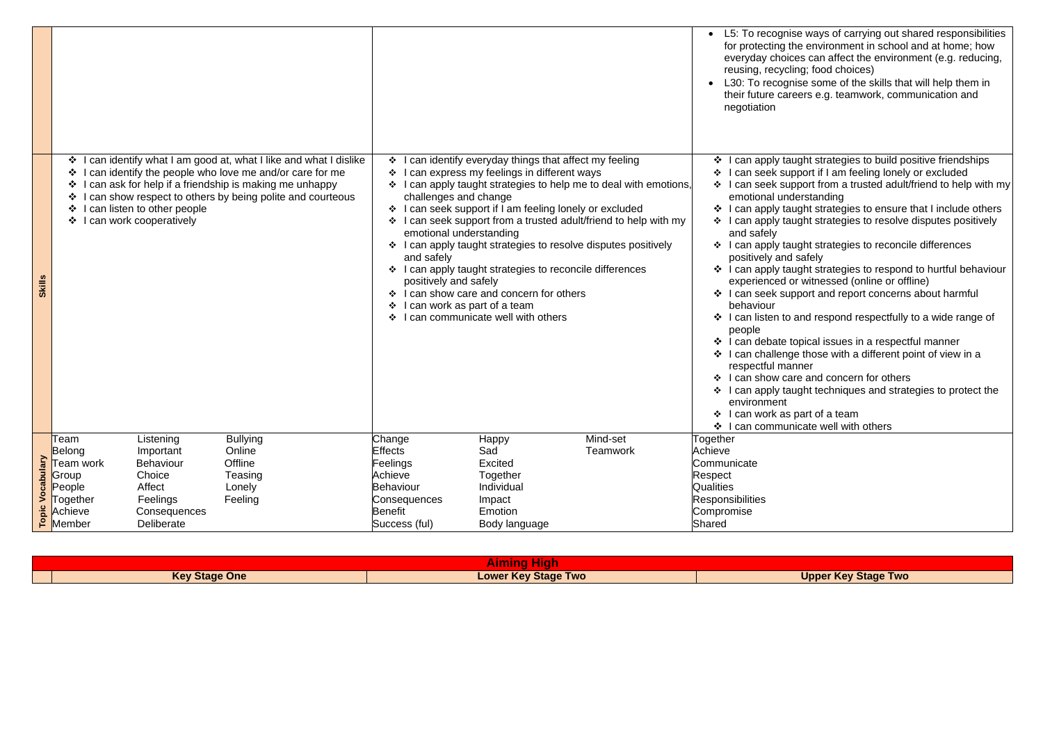|                            |                                                                                 |                                                                                                          |                                                                                                                                                                                                                                               |                                                                                                                                   |                                                                                                                                                                                                                                                                                                                                                                                                 |                                                                                                                                                                                                   |                                                                            | L5: To recogn<br>for protecting<br>everyday cho<br>reusing, recyo<br>L30: To recog<br>their future ca<br>negotiation                                                                                                                                                                                                                                                                                           |
|----------------------------|---------------------------------------------------------------------------------|----------------------------------------------------------------------------------------------------------|-----------------------------------------------------------------------------------------------------------------------------------------------------------------------------------------------------------------------------------------------|-----------------------------------------------------------------------------------------------------------------------------------|-------------------------------------------------------------------------------------------------------------------------------------------------------------------------------------------------------------------------------------------------------------------------------------------------------------------------------------------------------------------------------------------------|---------------------------------------------------------------------------------------------------------------------------------------------------------------------------------------------------|----------------------------------------------------------------------------|----------------------------------------------------------------------------------------------------------------------------------------------------------------------------------------------------------------------------------------------------------------------------------------------------------------------------------------------------------------------------------------------------------------|
| <b>Skill</b>               | $\mathbf{v}$<br>❖<br>❖<br>❖<br>❖                                                | can listen to other people<br>can work cooperatively                                                     | can identify what I am good at, what I like and what I dislike<br>can identify the people who love me and/or care for me<br>can ask for help if a friendship is making me unhappy<br>can show respect to others by being polite and courteous | $\cdot$<br>❖<br>$\frac{1}{2}$<br>$\cdot$<br>$\frac{1}{2}$<br>$\cdot$<br>and safely<br>positively and safely<br>$\cdot$<br>$\cdot$ | I can identify everyday things that affect my feeling<br>I can express my feelings in different ways<br>challenges and change<br>I can seek support if I am feeling lonely or excluded<br>emotional understanding<br>❖ I can apply taught strategies to reconcile differences<br>❖ I can show care and concern for others<br>I can work as part of a team<br>I can communicate well with others | I can apply taught strategies to help me to deal with emotions,<br>I can seek support from a trusted adult/friend to help with my<br>I can apply taught strategies to resolve disputes positively | $\mathbf{A}$                                                               | can apply ta<br>can seek su<br>can seek su<br>emotional un<br>l can apply ta<br>$\div$ I can apply ta<br>and safely<br>$\div$ I can apply ta<br>positively and<br>$\div$ I can apply ta<br>experienced<br>❖ I can seek su<br>behaviour<br>❖ I can listen to<br>people<br>❖ I can debate<br>can challen<br>respectful ma<br>❖ I can show c<br>l can apply ta<br>environment<br>❖ I can work as<br>❖ I can commu |
| Vocabulary<br><b>Topic</b> | Team<br>Belong<br>Team work<br>Group<br>People<br>Together<br>Achieve<br>Member | Listening<br>Important<br><b>Behaviour</b><br>Choice<br>Affect<br>Feelings<br>Consequences<br>Deliberate | <b>Bullying</b><br>Online<br>Offline<br>Teasing<br>Lonely<br>Feeling                                                                                                                                                                          | Change<br><b>Effects</b><br>Feelings<br>Achieve<br>Behaviour<br>Consequences<br><b>Benefit</b><br>Success (ful)                   | Happy<br>Sad<br><b>Excited</b><br>Together<br>Individual<br>Impact<br>Emotion<br>Body language                                                                                                                                                                                                                                                                                                  | Mind-set<br><b>Teamwork</b>                                                                                                                                                                       | Together<br>Achieve<br>Respect<br><b>Qualities</b><br>Compromise<br>Shared | Communicate<br><b>Responsibilities</b>                                                                                                                                                                                                                                                                                                                                                                         |

|  | <b>Key Stage One</b> | <b>Lower Key Stage Two</b> |  |
|--|----------------------|----------------------------|--|

ise ways of carrying out shared responsibilities the environment in school and at home; how ices can affect the environment (e.g. reducing, cling; food choices)

anise some of the skills that will help them in areers e.g. teamwork, communication and

aught strategies to build positive friendships upport if I am feeling lonely or excluded support from a trusted adult/friend to help with my hderstanding

taught strategies to ensure that I include others taught strategies to resolve disputes positively

taught strategies to reconcile differences nd safely

taught strategies to respond to hurtful behaviour or witnessed (online or offline)

upport and report concerns about harmful

o and respond respectfully to a wide range of

topical issues in a respectful manner nge those with a different point of view in a ianner

care and concern for others

taught techniques and strategies to protect the

s part of a team unicate well with others

**Key Stage Two**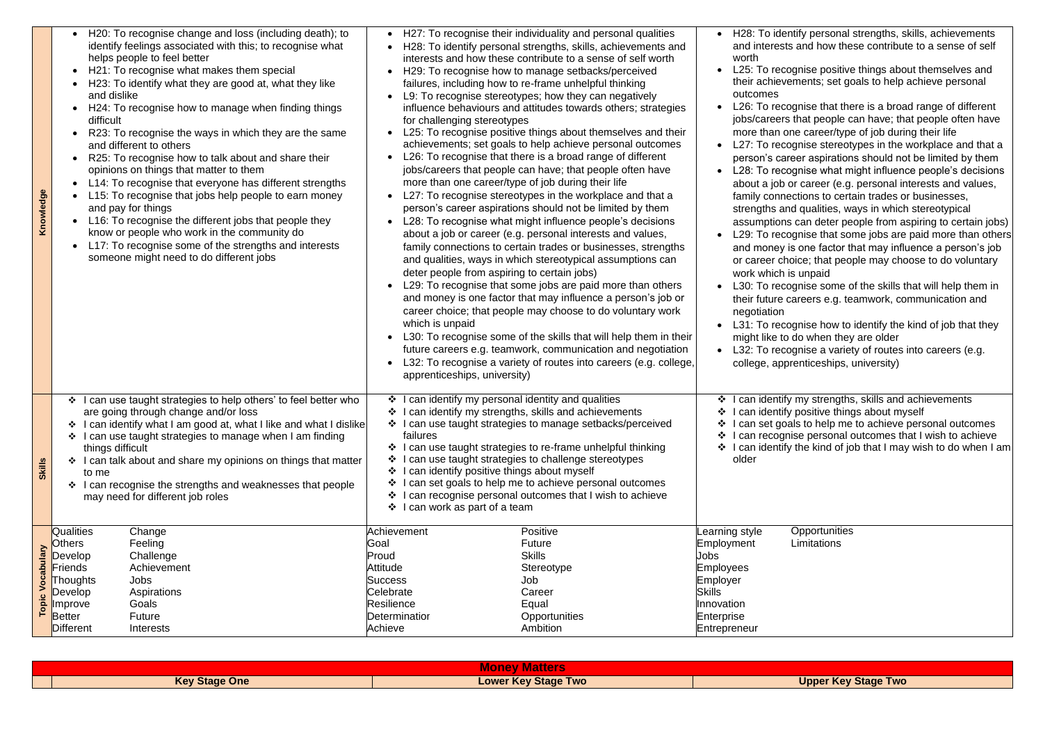| Knowledge               | H20: To recognise change and loss (including death); to<br>identify feelings associated with this; to recognise what<br>helps people to feel better<br>H21: To recognise what makes them special<br>H23: To identify what they are good at, what they like<br>and dislike<br>H24: To recognise how to manage when finding things<br>difficult<br>R23: To recognise the ways in which they are the same<br>and different to others<br>R25: To recognise how to talk about and share their<br>opinions on things that matter to them<br>L14: To recognise that everyone has different strengths<br>L15: To recognise that jobs help people to earn money<br>and pay for things<br>L16: To recognise the different jobs that people they<br>know or people who work in the community do<br>L17: To recognise some of the strengths and interests<br>someone might need to do different jobs | $\bullet$<br>for challenging stereotypes<br>more than one career/type of job during their life<br>deter people from aspiring to certain jobs)<br>which is unpaid<br>apprenticeships, university)                                                                                        | H27: To recognise their individuality and personal qualities<br>H28: To identify personal strengths, skills, achievements and<br>interests and how these contribute to a sense of self worth<br>H29: To recognise how to manage setbacks/perceived<br>failures, including how to re-frame unhelpful thinking<br>L9: To recognise stereotypes; how they can negatively<br>influence behaviours and attitudes towards others; strategies<br>L25: To recognise positive things about themselves and their<br>achievements; set goals to help achieve personal outcomes<br>L26: To recognise that there is a broad range of different<br>jobs/careers that people can have; that people often have<br>L27: To recognise stereotypes in the workplace and that a<br>person's career aspirations should not be limited by them<br>L28: To recognise what might influence people's decisions<br>about a job or career (e.g. personal interests and values,<br>family connections to certain trades or businesses, strengths<br>and qualities, ways in which stereotypical assumptions can<br>L29: To recognise that some jobs are paid more than others<br>and money is one factor that may influence a person's job or<br>career choice; that people may choose to do voluntary work<br>L30: To recognise some of the skills that will help them in their<br>future careers e.g. teamwork, communication and negotiation<br>L32: To recognise a variety of routes into careers (e.g. college, | H28: To ider<br>and interest<br>worth<br>L25: To reco<br>their achieve<br>outcomes<br>L26: To reco<br>jobs/careers<br>more than o<br>L27: To reco<br>person's car<br>L28: To reco<br>about a job<br>family conne<br>strengths an<br>assumptions<br>L <sub>29</sub> : To reco<br>and money<br>or career ch<br>work which i<br>L30: To reco<br>their future o<br>negotiation<br>L31: To reco<br>might like to<br>$\bullet$ L32: To reco<br>college, app |
|-------------------------|------------------------------------------------------------------------------------------------------------------------------------------------------------------------------------------------------------------------------------------------------------------------------------------------------------------------------------------------------------------------------------------------------------------------------------------------------------------------------------------------------------------------------------------------------------------------------------------------------------------------------------------------------------------------------------------------------------------------------------------------------------------------------------------------------------------------------------------------------------------------------------------|-----------------------------------------------------------------------------------------------------------------------------------------------------------------------------------------------------------------------------------------------------------------------------------------|-----------------------------------------------------------------------------------------------------------------------------------------------------------------------------------------------------------------------------------------------------------------------------------------------------------------------------------------------------------------------------------------------------------------------------------------------------------------------------------------------------------------------------------------------------------------------------------------------------------------------------------------------------------------------------------------------------------------------------------------------------------------------------------------------------------------------------------------------------------------------------------------------------------------------------------------------------------------------------------------------------------------------------------------------------------------------------------------------------------------------------------------------------------------------------------------------------------------------------------------------------------------------------------------------------------------------------------------------------------------------------------------------------------------------------------------------------------------------------------------|-------------------------------------------------------------------------------------------------------------------------------------------------------------------------------------------------------------------------------------------------------------------------------------------------------------------------------------------------------------------------------------------------------------------------------------------------------|
| <b>Skills</b>           | ❖ I can use taught strategies to help others' to feel better who<br>are going through change and/or loss<br>I can identify what I am good at, what I like and what I dislike<br>❖<br>I can use taught strategies to manage when I am finding<br>❖<br>things difficult<br>I can talk about and share my opinions on things that matter<br>❖<br>to me<br>I can recognise the strengths and weaknesses that people<br>❖<br>may need for different job roles                                                                                                                                                                                                                                                                                                                                                                                                                                 | I can identify my personal identity and qualities<br>❖ I can identify my strengths, skills and achievements<br>failures<br>❖ I can use taught strategies to challenge stereotypes<br>I can identify positive things about myself<br>$\mathbf{A}$<br>$\div$ I can work as part of a team | ❖ I can use taught strategies to manage setbacks/perceived<br>❖ I can use taught strategies to re-frame unhelpful thinking<br>❖ I can set goals to help me to achieve personal outcomes<br>❖ I can recognise personal outcomes that I wish to achieve                                                                                                                                                                                                                                                                                                                                                                                                                                                                                                                                                                                                                                                                                                                                                                                                                                                                                                                                                                                                                                                                                                                                                                                                                                   | ❖ I can identify<br>❖ I can identify<br>❖ I can set goa<br>❖ I can recogn<br>$\div$ I can identify<br>older                                                                                                                                                                                                                                                                                                                                           |
| <b>Topic Vocabulary</b> | <b>Qualities</b><br>Change<br>Feeling<br><b>Others</b><br>Challenge<br>Develop<br>Achievement<br>Friends<br><b>Jobs</b><br><b>Thoughts</b><br>Develop<br>Aspirations<br>Goals<br>Improve<br><b>Future</b><br>Better<br>Different<br>Interests                                                                                                                                                                                                                                                                                                                                                                                                                                                                                                                                                                                                                                            | Achievement<br>Goal<br>Proud<br>Attitude<br>Success<br>Celebrate<br>Resilience<br><b>Determinatior</b><br>Achieve                                                                                                                                                                       | Positive<br><b>Future</b><br><b>Skills</b><br>Stereotype<br>Job<br>Career<br>Equal<br>Opportunities<br>Ambition                                                                                                                                                                                                                                                                                                                                                                                                                                                                                                                                                                                                                                                                                                                                                                                                                                                                                                                                                                                                                                                                                                                                                                                                                                                                                                                                                                         | earning style<br>Employment<br>Jobs<br>Employees<br>Employer<br><b>Skills</b><br>Innovation<br>Enterprise<br>Entrepreneur                                                                                                                                                                                                                                                                                                                             |

| $  -$<br><b>AIUHUV</b> |                      |                            |  |
|------------------------|----------------------|----------------------------|--|
|                        | <b>Key Stage One</b> | <b>Lower Key Stage Two</b> |  |

ntify personal strengths, skills, achievements is and how these contribute to a sense of self

be positive things about themselves and ements; set goals to help achieve personal

banise that there is a broad range of different that people can have; that people often have me career/type of job during their life ognise stereotypes in the workplace and that a reer aspirations should not be limited by them ognise what might influence people's decisions or career (e.g. personal interests and values, ections to certain trades or businesses, d qualities, ways in which stereotypical s can deter people from aspiring to certain jobs) bgnise that some jobs are paid more than others is one factor that may influence a person's job oice; that people may choose to do voluntary is unpaid

banise some of the skills that will help them in careers e.g. teamwork, communication and

banise how to identify the kind of job that they do when they are older

banise a variety of routes into careers (e.g. renticeships, university)

y my strengths, skills and achievements y positive things about myself als to help me to achieve personal outcomes hise personal outcomes that I wish to achieve y the kind of job that I may wish to do when I am

**Opportunities Limitations** 

**Upper Key Stage Two**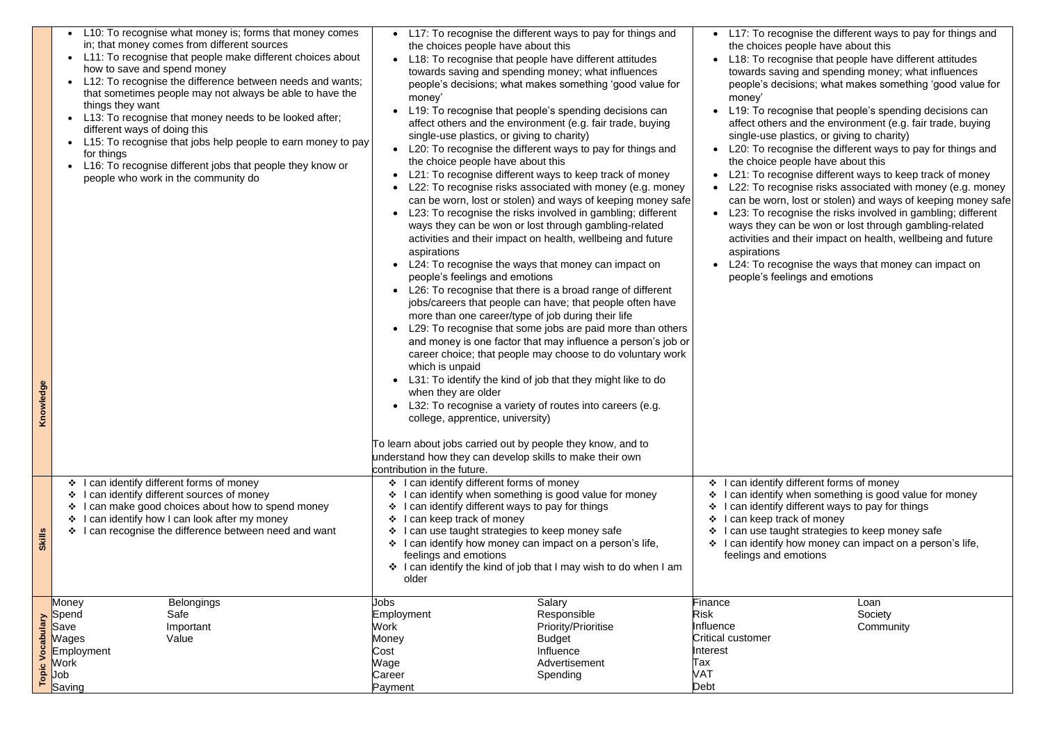| owledge<br>ءِ<br>                  | L10: To recognise what money is; forms that money comes<br>in; that money comes from different sources<br>L11: To recognise that people make different choices about<br>how to save and spend money<br>L12: To recognise the difference between needs and wants;<br>that sometimes people may not always be able to have the<br>things they want<br>L13: To recognise that money needs to be looked after;<br>different ways of doing this<br>L15: To recognise that jobs help people to earn money to pay<br>for things<br>L16: To recognise different jobs that people they know or<br>people who work in the community do | L17: To recognise the different ways to pay for things and<br>the choices people have about this<br>L18: To recognise that people have different attitudes<br>towards saving and spending money; what influences<br>people's decisions; what makes something 'good value for<br>money'<br>L19: To recognise that people's spending decisions can<br>affect others and the environment (e.g. fair trade, buying<br>single-use plastics, or giving to charity)<br>L20: To recognise the different ways to pay for things and<br>the choice people have about this<br>L21: To recognise different ways to keep track of money<br>L22: To recognise risks associated with money (e.g. money<br>can be worn, lost or stolen) and ways of keeping money safe<br>L23: To recognise the risks involved in gambling; different<br>ways they can be won or lost through gambling-related<br>activities and their impact on health, wellbeing and future<br>aspirations<br>L24: To recognise the ways that money can impact on<br>people's feelings and emotions<br>L26: To recognise that there is a broad range of different<br>jobs/careers that people can have; that people often have<br>more than one career/type of job during their life<br>L29: To recognise that some jobs are paid more than others<br>and money is one factor that may influence a person's job or<br>career choice; that people may choose to do voluntary work<br>which is unpaid<br>L31: To identify the kind of job that they might like to do<br>when they are older<br>L32: To recognise a variety of routes into careers (e.g.<br>college, apprentice, university)<br>To learn about jobs carried out by people they know, and to | L17: To reco<br>the choices p<br>L18: To recog<br>towards savir<br>people's deci<br>money'<br>L19: To reco<br>affect others<br>single-use pla<br>L20: To reco<br>the choice pe<br>$L21:$ To reco<br>L22: To reco<br>can be worn,<br>$L23$ : To reco<br>ways they ca<br>activities and<br>aspirations<br>L24: To reco<br>people's feeli |
|------------------------------------|------------------------------------------------------------------------------------------------------------------------------------------------------------------------------------------------------------------------------------------------------------------------------------------------------------------------------------------------------------------------------------------------------------------------------------------------------------------------------------------------------------------------------------------------------------------------------------------------------------------------------|------------------------------------------------------------------------------------------------------------------------------------------------------------------------------------------------------------------------------------------------------------------------------------------------------------------------------------------------------------------------------------------------------------------------------------------------------------------------------------------------------------------------------------------------------------------------------------------------------------------------------------------------------------------------------------------------------------------------------------------------------------------------------------------------------------------------------------------------------------------------------------------------------------------------------------------------------------------------------------------------------------------------------------------------------------------------------------------------------------------------------------------------------------------------------------------------------------------------------------------------------------------------------------------------------------------------------------------------------------------------------------------------------------------------------------------------------------------------------------------------------------------------------------------------------------------------------------------------------------------------------------------------------------------------------------------------------------|----------------------------------------------------------------------------------------------------------------------------------------------------------------------------------------------------------------------------------------------------------------------------------------------------------------------------------------|
|                                    |                                                                                                                                                                                                                                                                                                                                                                                                                                                                                                                                                                                                                              | understand how they can develop skills to make their own<br>contribution in the future.                                                                                                                                                                                                                                                                                                                                                                                                                                                                                                                                                                                                                                                                                                                                                                                                                                                                                                                                                                                                                                                                                                                                                                                                                                                                                                                                                                                                                                                                                                                                                                                                                    |                                                                                                                                                                                                                                                                                                                                        |
| <b>Skills</b>                      | can identify different forms of money<br>❖<br>can identify different sources of money<br>❖<br>can make good choices about how to spend money<br>❖<br>can identify how I can look after my money<br>can recognise the difference between need and want                                                                                                                                                                                                                                                                                                                                                                        | I can identify different forms of money<br>❖<br>I can identify when something is good value for money<br>❖<br>I can identify different ways to pay for things<br>I can keep track of money<br>❖<br>I can use taught strategies to keep money safe<br>❖<br>I can identify how money can impact on a person's life,<br>❖<br>feelings and emotions<br>❖ I can identify the kind of job that I may wish to do when I am<br>older                                                                                                                                                                                                                                                                                                                                                                                                                                                                                                                                                                                                                                                                                                                                                                                                                                                                                                                                                                                                                                                                                                                                                                                                                                                                               | can identify o<br>❖<br>I can identify v<br>❖<br>I can identify o<br>can keep tra<br>❖<br>I can use taug<br>❖<br>I can identify h<br>❖<br>feelings and e                                                                                                                                                                                |
| <b>Arenq</b><br>ocal<br>⋗<br>Topic | Money<br><b>Belongings</b><br>Safe<br>Spend<br>Save<br>Important<br>Value<br>Wages<br>Employment<br>Work<br>Job<br>Saving                                                                                                                                                                                                                                                                                                                                                                                                                                                                                                    | Salary<br>Jobs<br>Employment<br>Responsible<br><b>Work</b><br><b>Priority/Prioritise</b><br><b>Budget</b><br>Money<br>Influence<br>Cost<br>Wage<br>Advertisement<br>Spending<br>Career<br>Payment                                                                                                                                                                                                                                                                                                                                                                                                                                                                                                                                                                                                                                                                                                                                                                                                                                                                                                                                                                                                                                                                                                                                                                                                                                                                                                                                                                                                                                                                                                          | Finance<br><b>Risk</b><br>Influence<br><b>Critical customer</b><br>Interest<br>Tax<br><b>VAT</b><br>Debt                                                                                                                                                                                                                               |

Loan Society **Community** 

gnise the different ways to pay for things and beople have about this

gnise that people have different attitudes ing and spending money; what influences isions; what makes something 'good value for

gnise that people's spending decisions can and the environment (e.g. fair trade, buying lastics, or giving to charity)

gnise the different ways to pay for things and eople have about this

gnise different ways to keep track of money eqnise risks associated with money (e.g. money lost or stolen) and ways of keeping money safe gnise the risks involved in gambling; different an be won or lost through gambling-related I their impact on health, wellbeing and future

gnise the ways that money can impact on lings and emotions

different forms of money when something is good value for money different ways to pay for things ick of money ght strategies to keep money safe how money can impact on a person's life, emotions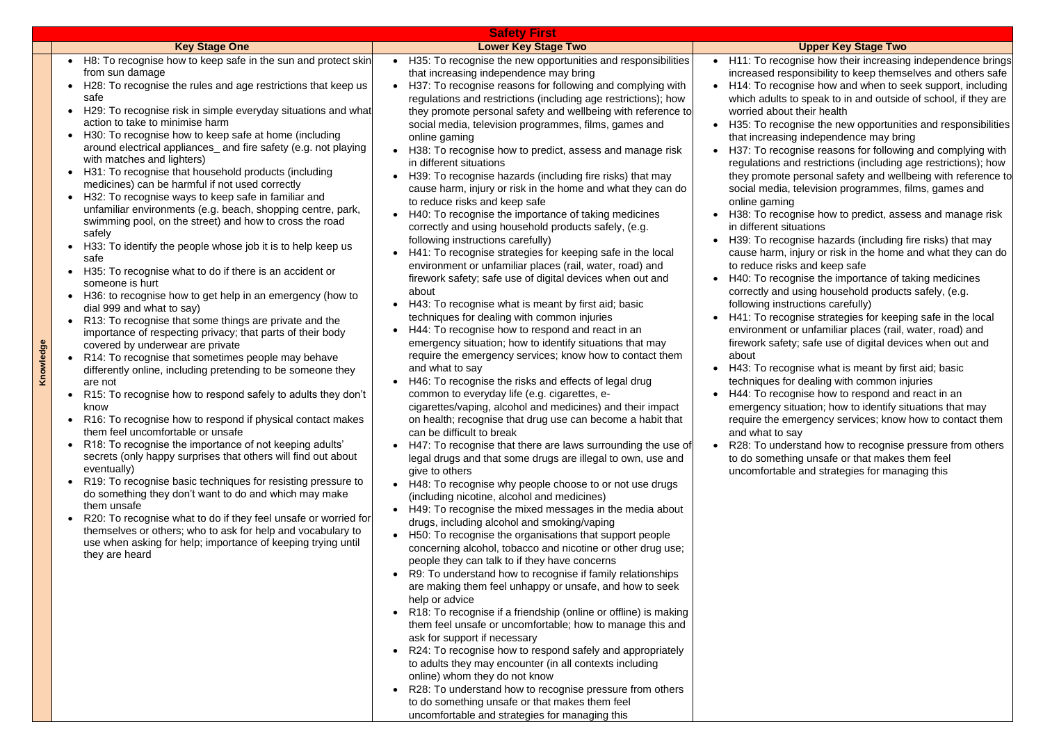**Knowledge**

## **Key Stage Two**

gnise how their increasing independence brings ponsibility to keep themselves and others safe gnise how and when to seek support, including to speak to in and outside of school, if they are their health

gnise the new opportunities and responsibilities g independence may bring

gnise reasons for following and complying with nd restrictions (including age restrictions); how personal safety and wellbeing with reference to television programmes, films, games and

gnise how to predict, assess and manage risk uations

gnise hazards (including fire risks) that may njury or risk in the home and what they can do to and keep safe

gnise the importance of taking medicines using household products safely, (e.g. uctions carefully)

gnise strategies for keeping safe in the local or unfamiliar places (rail, water, road) and

y; safe use of digital devices when out and

qnise what is meant by first aid; basic

r dealing with common injuries

gnise how to respond and react in an

tuation; how to identify situations that may

nergency services; know how to contact them ay

rstand how to recognise pressure from others ng unsafe or that makes them feel

e and strategies for managing this

|                                                                                         |                                                                                                                                                                                                                                                                                                                                                                                                                                                                                                                                                                                                                                                                                                                                                                                                                                                                                                                                                                                                                                                                                                                                                                                                                                                                                                                                                                                                                                                                                                                                                                                                                                                                                                                                                                                                                                                                                                                                                            | <b>Safety First</b>                                                                                                                                                                                                                                                                                                                                                                                                                                                                                                                                                                                                                                                                                                                                                                                                                                                                                                                                                                                                                                                                                                                                                                                                                                                                                                                                                                                                                                                                                                                                                                                                                                                                                                                                                                                                                                                                                                                                                                                                                                                                                                                                                                                                                                                                                                                                                                                                                                                                                                                                                                                                                                                |  |                                                                                                                                                                                                                                                                                                                                                                                                                                                                                                                                                                                                           |  |
|-----------------------------------------------------------------------------------------|------------------------------------------------------------------------------------------------------------------------------------------------------------------------------------------------------------------------------------------------------------------------------------------------------------------------------------------------------------------------------------------------------------------------------------------------------------------------------------------------------------------------------------------------------------------------------------------------------------------------------------------------------------------------------------------------------------------------------------------------------------------------------------------------------------------------------------------------------------------------------------------------------------------------------------------------------------------------------------------------------------------------------------------------------------------------------------------------------------------------------------------------------------------------------------------------------------------------------------------------------------------------------------------------------------------------------------------------------------------------------------------------------------------------------------------------------------------------------------------------------------------------------------------------------------------------------------------------------------------------------------------------------------------------------------------------------------------------------------------------------------------------------------------------------------------------------------------------------------------------------------------------------------------------------------------------------------|--------------------------------------------------------------------------------------------------------------------------------------------------------------------------------------------------------------------------------------------------------------------------------------------------------------------------------------------------------------------------------------------------------------------------------------------------------------------------------------------------------------------------------------------------------------------------------------------------------------------------------------------------------------------------------------------------------------------------------------------------------------------------------------------------------------------------------------------------------------------------------------------------------------------------------------------------------------------------------------------------------------------------------------------------------------------------------------------------------------------------------------------------------------------------------------------------------------------------------------------------------------------------------------------------------------------------------------------------------------------------------------------------------------------------------------------------------------------------------------------------------------------------------------------------------------------------------------------------------------------------------------------------------------------------------------------------------------------------------------------------------------------------------------------------------------------------------------------------------------------------------------------------------------------------------------------------------------------------------------------------------------------------------------------------------------------------------------------------------------------------------------------------------------------------------------------------------------------------------------------------------------------------------------------------------------------------------------------------------------------------------------------------------------------------------------------------------------------------------------------------------------------------------------------------------------------------------------------------------------------------------------------------------------------|--|-----------------------------------------------------------------------------------------------------------------------------------------------------------------------------------------------------------------------------------------------------------------------------------------------------------------------------------------------------------------------------------------------------------------------------------------------------------------------------------------------------------------------------------------------------------------------------------------------------------|--|
|                                                                                         | <b>Key Stage One</b>                                                                                                                                                                                                                                                                                                                                                                                                                                                                                                                                                                                                                                                                                                                                                                                                                                                                                                                                                                                                                                                                                                                                                                                                                                                                                                                                                                                                                                                                                                                                                                                                                                                                                                                                                                                                                                                                                                                                       | <b>Lower Key Stage Two</b>                                                                                                                                                                                                                                                                                                                                                                                                                                                                                                                                                                                                                                                                                                                                                                                                                                                                                                                                                                                                                                                                                                                                                                                                                                                                                                                                                                                                                                                                                                                                                                                                                                                                                                                                                                                                                                                                                                                                                                                                                                                                                                                                                                                                                                                                                                                                                                                                                                                                                                                                                                                                                                         |  |                                                                                                                                                                                                                                                                                                                                                                                                                                                                                                                                                                                                           |  |
| $\bullet$<br>$\bullet$<br>$\bullet$<br>$\bullet$<br>$\bullet$<br>$\bullet$<br>$\bullet$ | H8: To recognise how to keep safe in the sun and protect skin<br>from sun damage<br>H28: To recognise the rules and age restrictions that keep us<br>safe<br>H29: To recognise risk in simple everyday situations and what<br>action to take to minimise harm<br>H30: To recognise how to keep safe at home (including<br>around electrical appliances_ and fire safety (e.g. not playing<br>with matches and lighters)<br>H31: To recognise that household products (including<br>medicines) can be harmful if not used correctly<br>H32: To recognise ways to keep safe in familiar and<br>unfamiliar environments (e.g. beach, shopping centre, park,<br>swimming pool, on the street) and how to cross the road<br>safely<br>H33: To identify the people whose job it is to help keep us<br>safe<br>H35: To recognise what to do if there is an accident or<br>someone is hurt<br>H36: to recognise how to get help in an emergency (how to<br>dial 999 and what to say)<br>R13: To recognise that some things are private and the<br>importance of respecting privacy; that parts of their body<br>covered by underwear are private<br>R14: To recognise that sometimes people may behave<br>differently online, including pretending to be someone they<br>are not<br>R15: To recognise how to respond safely to adults they don't<br>know<br>R16: To recognise how to respond if physical contact makes<br>them feel uncomfortable or unsafe<br>R18: To recognise the importance of not keeping adults'<br>secrets (only happy surprises that others will find out about<br>eventually)<br>R19: To recognise basic techniques for resisting pressure to<br>do something they don't want to do and which may make<br>them unsafe<br>R20: To recognise what to do if they feel unsafe or worried for<br>themselves or others; who to ask for help and vocabulary to<br>use when asking for help; importance of keeping trying until<br>they are heard | H35: To recognise the new opportunities and responsibilities<br>$\bullet$<br>that increasing independence may bring<br>H37: To recognise reasons for following and complying with<br>$\bullet$<br>regulations and restrictions (including age restrictions); how<br>they promote personal safety and wellbeing with reference to<br>social media, television programmes, films, games and<br>online gaming<br>H38: To recognise how to predict, assess and manage risk<br>in different situations<br>H39: To recognise hazards (including fire risks) that may<br>cause harm, injury or risk in the home and what they can do<br>to reduce risks and keep safe<br>H40: To recognise the importance of taking medicines<br>correctly and using household products safely, (e.g.<br>following instructions carefully)<br>H41: To recognise strategies for keeping safe in the local<br>environment or unfamiliar places (rail, water, road) and<br>firework safety; safe use of digital devices when out and<br>about<br>H43: To recognise what is meant by first aid; basic<br>techniques for dealing with common injuries<br>H44: To recognise how to respond and react in an<br>emergency situation; how to identify situations that may<br>require the emergency services; know how to contact them<br>and what to say<br>H46: To recognise the risks and effects of legal drug<br>common to everyday life (e.g. cigarettes, e-<br>cigarettes/vaping, alcohol and medicines) and their impact<br>on health; recognise that drug use can become a habit that<br>can be difficult to break<br>H47: To recognise that there are laws surrounding the use of<br>legal drugs and that some drugs are illegal to own, use and<br>give to others<br>H48: To recognise why people choose to or not use drugs<br>$\bullet$<br>(including nicotine, alcohol and medicines)<br>H49: To recognise the mixed messages in the media about<br>$\bullet$<br>drugs, including alcohol and smoking/vaping<br>H50: To recognise the organisations that support people<br>$\bullet$<br>concerning alcohol, tobacco and nicotine or other drug use;<br>people they can talk to if they have concerns<br>R9: To understand how to recognise if family relationships<br>$\bullet$<br>are making them feel unhappy or unsafe, and how to seek<br>help or advice<br>R18: To recognise if a friendship (online or offline) is making<br>them feel unsafe or uncomfortable; how to manage this and<br>ask for support if necessary<br>R24: To recognise how to respond safely and appropriately<br>to adults they may encounter (in all contexts including<br>online) whom they do not know |  | H11: To recog<br>increased resp<br>H <sub>14</sub> : To recog<br>which adults to<br>worried about<br>H35: To recog<br>that increasing<br>H37: To recog<br>regulations an<br>they promote<br>social media,<br>online gaming<br>H38: To recog<br>in different situ<br>H39: To recog<br>cause harm, in<br>to reduce risks<br>H40: To recog<br>correctly and u<br>following instri<br>H41: To recog<br>environment c<br>firework safety<br>about<br>H43: To recog<br>techniques for<br>H44: To recog<br>emergency sit<br>require the em<br>and what to sa<br>R28: To under<br>to do somethii<br>uncomfortable |  |
|                                                                                         |                                                                                                                                                                                                                                                                                                                                                                                                                                                                                                                                                                                                                                                                                                                                                                                                                                                                                                                                                                                                                                                                                                                                                                                                                                                                                                                                                                                                                                                                                                                                                                                                                                                                                                                                                                                                                                                                                                                                                            | R28: To understand how to recognise pressure from others<br>$\bullet$                                                                                                                                                                                                                                                                                                                                                                                                                                                                                                                                                                                                                                                                                                                                                                                                                                                                                                                                                                                                                                                                                                                                                                                                                                                                                                                                                                                                                                                                                                                                                                                                                                                                                                                                                                                                                                                                                                                                                                                                                                                                                                                                                                                                                                                                                                                                                                                                                                                                                                                                                                                              |  |                                                                                                                                                                                                                                                                                                                                                                                                                                                                                                                                                                                                           |  |
|                                                                                         |                                                                                                                                                                                                                                                                                                                                                                                                                                                                                                                                                                                                                                                                                                                                                                                                                                                                                                                                                                                                                                                                                                                                                                                                                                                                                                                                                                                                                                                                                                                                                                                                                                                                                                                                                                                                                                                                                                                                                            | to do something unsafe or that makes them feel                                                                                                                                                                                                                                                                                                                                                                                                                                                                                                                                                                                                                                                                                                                                                                                                                                                                                                                                                                                                                                                                                                                                                                                                                                                                                                                                                                                                                                                                                                                                                                                                                                                                                                                                                                                                                                                                                                                                                                                                                                                                                                                                                                                                                                                                                                                                                                                                                                                                                                                                                                                                                     |  |                                                                                                                                                                                                                                                                                                                                                                                                                                                                                                                                                                                                           |  |

uncomfortable and strategies for managing this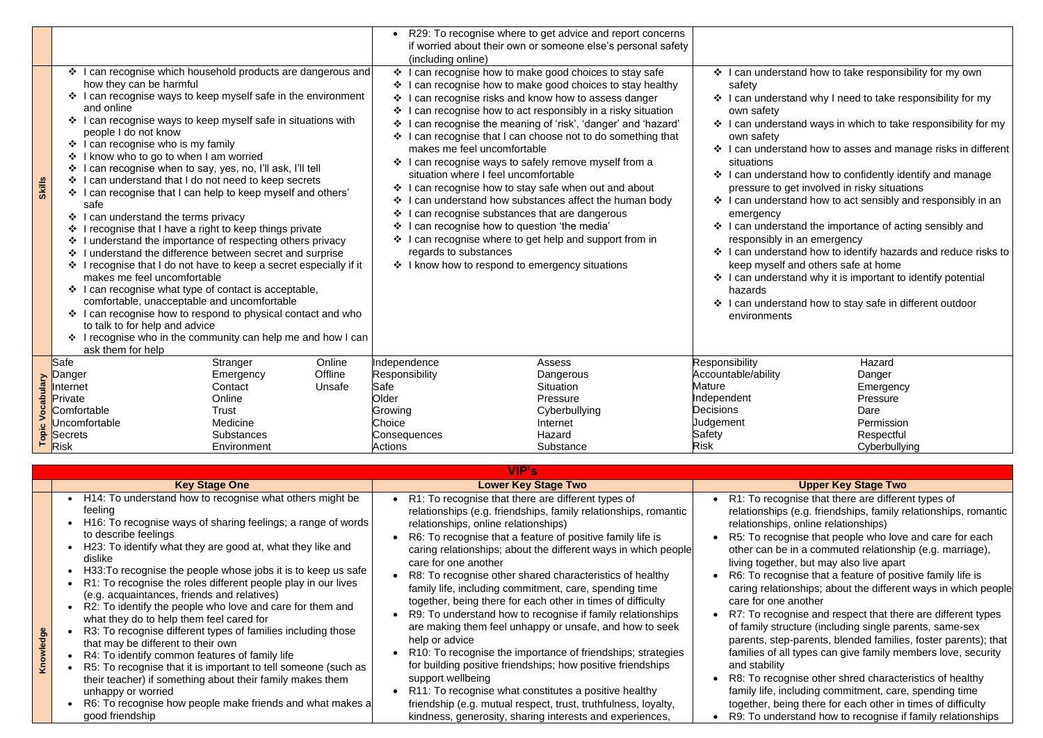|               |                                                                                                                                                                                                                                                                                                                                                                                                                                                                                                                                                                                                                                                                                                                                                                                                                                                                                                                         | Koy Stage One     |         |                                                                               | Lower Koy Stage Two                                                                                                                                                                                                                                                                                                                                                                                                   |                                                                                                                          | <b>Ilnnor Koy Stage Two</b>                                                                                                                                                                                                                                                                                                                                                                                                                                                                          |  |
|---------------|-------------------------------------------------------------------------------------------------------------------------------------------------------------------------------------------------------------------------------------------------------------------------------------------------------------------------------------------------------------------------------------------------------------------------------------------------------------------------------------------------------------------------------------------------------------------------------------------------------------------------------------------------------------------------------------------------------------------------------------------------------------------------------------------------------------------------------------------------------------------------------------------------------------------------|-------------------|---------|-------------------------------------------------------------------------------|-----------------------------------------------------------------------------------------------------------------------------------------------------------------------------------------------------------------------------------------------------------------------------------------------------------------------------------------------------------------------------------------------------------------------|--------------------------------------------------------------------------------------------------------------------------|------------------------------------------------------------------------------------------------------------------------------------------------------------------------------------------------------------------------------------------------------------------------------------------------------------------------------------------------------------------------------------------------------------------------------------------------------------------------------------------------------|--|
|               |                                                                                                                                                                                                                                                                                                                                                                                                                                                                                                                                                                                                                                                                                                                                                                                                                                                                                                                         |                   |         |                                                                               | VIP's                                                                                                                                                                                                                                                                                                                                                                                                                 |                                                                                                                          |                                                                                                                                                                                                                                                                                                                                                                                                                                                                                                      |  |
|               |                                                                                                                                                                                                                                                                                                                                                                                                                                                                                                                                                                                                                                                                                                                                                                                                                                                                                                                         |                   |         |                                                                               |                                                                                                                                                                                                                                                                                                                                                                                                                       |                                                                                                                          |                                                                                                                                                                                                                                                                                                                                                                                                                                                                                                      |  |
|               |                                                                                                                                                                                                                                                                                                                                                                                                                                                                                                                                                                                                                                                                                                                                                                                                                                                                                                                         | Environment       |         | <b>Actions</b>                                                                | Substance                                                                                                                                                                                                                                                                                                                                                                                                             | <b>Risk</b>                                                                                                              | Cyberbullying                                                                                                                                                                                                                                                                                                                                                                                                                                                                                        |  |
|               | B<br>B<br>Risk<br>Secrets                                                                                                                                                                                                                                                                                                                                                                                                                                                                                                                                                                                                                                                                                                                                                                                                                                                                                               | <b>Substances</b> |         | Consequences                                                                  | Hazard                                                                                                                                                                                                                                                                                                                                                                                                                | Safety                                                                                                                   | Respectful                                                                                                                                                                                                                                                                                                                                                                                                                                                                                           |  |
|               | Jncomfortable                                                                                                                                                                                                                                                                                                                                                                                                                                                                                                                                                                                                                                                                                                                                                                                                                                                                                                           | Medicine          |         | Choice                                                                        | Internet                                                                                                                                                                                                                                                                                                                                                                                                              | Judgement                                                                                                                | Permission                                                                                                                                                                                                                                                                                                                                                                                                                                                                                           |  |
|               | Comfortable                                                                                                                                                                                                                                                                                                                                                                                                                                                                                                                                                                                                                                                                                                                                                                                                                                                                                                             | <b>Trust</b>      |         | Growing                                                                       | Cyberbullying                                                                                                                                                                                                                                                                                                                                                                                                         | <b>Decisions</b>                                                                                                         | Dare                                                                                                                                                                                                                                                                                                                                                                                                                                                                                                 |  |
|               | Private                                                                                                                                                                                                                                                                                                                                                                                                                                                                                                                                                                                                                                                                                                                                                                                                                                                                                                                 | Online            |         | Older                                                                         | Pressure                                                                                                                                                                                                                                                                                                                                                                                                              | Independent                                                                                                              | Pressure                                                                                                                                                                                                                                                                                                                                                                                                                                                                                             |  |
|               | Internet                                                                                                                                                                                                                                                                                                                                                                                                                                                                                                                                                                                                                                                                                                                                                                                                                                                                                                                | Contact           | Unsafe  | Safe                                                                          | <b>Situation</b>                                                                                                                                                                                                                                                                                                                                                                                                      | Mature                                                                                                                   | Emergency                                                                                                                                                                                                                                                                                                                                                                                                                                                                                            |  |
|               | Danger                                                                                                                                                                                                                                                                                                                                                                                                                                                                                                                                                                                                                                                                                                                                                                                                                                                                                                                  | Emergency         | Offline | Responsibility                                                                | Dangerous                                                                                                                                                                                                                                                                                                                                                                                                             | Accountable/ability                                                                                                      | Danger                                                                                                                                                                                                                                                                                                                                                                                                                                                                                               |  |
|               | Safe                                                                                                                                                                                                                                                                                                                                                                                                                                                                                                                                                                                                                                                                                                                                                                                                                                                                                                                    | Stranger          | Online  | Independence                                                                  | Assess                                                                                                                                                                                                                                                                                                                                                                                                                | Responsibility                                                                                                           | Hazard                                                                                                                                                                                                                                                                                                                                                                                                                                                                                               |  |
| <b>Skills</b> | $\div$ I can recognise who is my family<br>❖ I know who to go to when I am worried<br>can recognise when to say, yes, no, I'll ask, I'll tell<br>❖<br>❖ I can understand that I do not need to keep secrets<br>❖ I can recognise that I can help to keep myself and others'<br>safe<br>❖ I can understand the terms privacy<br>I recognise that I have a right to keep things private<br>❖ I understand the importance of respecting others privacy<br>I understand the difference between secret and surprise<br>❖<br>❖ I recognise that I do not have to keep a secret especially if it<br>makes me feel uncomfortable<br>❖ I can recognise what type of contact is acceptable,<br>comfortable, unacceptable and uncomfortable<br>❖ I can recognise how to respond to physical contact and who<br>to talk to for help and advice<br>❖ I recognise who in the community can help me and how I can<br>ask them for help |                   |         | makes me feel uncomfortable<br>❖<br>❖<br>❖<br>❖<br>❖<br>regards to substances | ❖ I can recognise ways to safely remove myself from a<br>situation where I feel uncomfortable<br>I can recognise how to stay safe when out and about<br>I can understand how substances affect the human body<br>can recognise substances that are dangerous<br>can recognise how to question 'the media'<br>I can recognise where to get help and support from in<br>* I know how to respond to emergency situations | situations<br>emergency<br>responsibly in an emergency<br>keep myself and others safe at home<br>hazards<br>environments | ❖ I can understand how to asses and manage risks in different<br>❖ I can understand how to confidently identify and manage<br>pressure to get involved in risky situations<br>❖ I can understand how to act sensibly and responsibly in an<br>❖ I can understand the importance of acting sensibly and<br>❖ I can understand how to identify hazards and reduce risks to<br>❖ I can understand why it is important to identify potential<br>❖ I can understand how to stay safe in different outdoor |  |
|               | ❖ I can recognise which household products are dangerous and<br>how they can be harmful<br>❖ I can recognise ways to keep myself safe in the environment<br>and online<br>❖ I can recognise ways to keep myself safe in situations with<br>people I do not know                                                                                                                                                                                                                                                                                                                                                                                                                                                                                                                                                                                                                                                         |                   |         | (including online)<br>❖<br>❖<br>❖<br>❖<br>❖                                   | I can recognise how to make good choices to stay safe<br>I can recognise how to make good choices to stay healthy<br>I can recognise risks and know how to assess danger<br>can recognise how to act responsibly in a risky situation<br>I can recognise the meaning of 'risk', 'danger' and 'hazard'<br>I can recognise that I can choose not to do something that                                                   | safety<br>own safety<br>own safety                                                                                       | ❖ I can understand how to take responsibility for my own<br>❖ I can understand why I need to take responsibility for my<br>❖ I can understand ways in which to take responsibility for my                                                                                                                                                                                                                                                                                                            |  |
|               |                                                                                                                                                                                                                                                                                                                                                                                                                                                                                                                                                                                                                                                                                                                                                                                                                                                                                                                         |                   |         |                                                                               | R29: To recognise where to get advice and report concerns<br>if worried about their own or someone else's personal safety                                                                                                                                                                                                                                                                                             |                                                                                                                          |                                                                                                                                                                                                                                                                                                                                                                                                                                                                                                      |  |
|               |                                                                                                                                                                                                                                                                                                                                                                                                                                                                                                                                                                                                                                                                                                                                                                                                                                                                                                                         |                   |         |                                                                               |                                                                                                                                                                                                                                                                                                                                                                                                                       |                                                                                                                          |                                                                                                                                                                                                                                                                                                                                                                                                                                                                                                      |  |

| <b>Lower Key Stage Two</b><br><b>Key Stage One</b><br>• H14: To understand how to recognise what others might be<br>R1: To recognise that there are different types of<br>R1: To recogi<br>feeling<br>relationships (e.g. friendships, family relationships, romantic<br>relationships<br>H <sub>16</sub> : To recognise ways of sharing feelings; a range of words<br>relationships, online relationships)<br>relationships,<br>to describe feelings<br>R6: To recognise that a feature of positive family life is<br>R5: To recogr<br>H23: To identify what they are good at, what they like and<br>caring relationships; about the different ways in which people<br>other can be<br>dislike<br>care for one another<br>living togethe<br>H33: To recognise the people whose jobs it is to keep us safe<br>R8: To recognise other shared characteristics of healthy<br>R6: To recogn<br>R1: To recognise the roles different people play in our lives<br>family life, including commitment, care, spending time<br>caring relation<br>(e.g. acquaintances, friends and relatives)<br>together, being there for each other in times of difficulty<br>care for one a<br>R2: To identify the people who love and care for them and<br>R9: To understand how to recognise if family relationships<br>R7: To recogr<br>what they do to help them feel cared for<br>are making them feel unhappy or unsafe, and how to seek<br>of family strud<br>R3: To recognise different types of families including those<br>help or advice<br>parents, step-<br>that may be different to their own<br>families of all<br>R10: To recognise the importance of friendships; strategies<br>• R4: To identify common features of family life<br>for building positive friendships; how positive friendships<br>and stability<br>R5: To recognise that it is important to tell someone (such as<br>support wellbeing<br>their teacher) if something about their family makes them<br>family life, inc<br>R11: To recognise what constitutes a positive healthy<br>unhappy or worried<br>R6: To recognise how people make friends and what makes a<br>friendship (e.g. mutual respect, trust, truthfulness, loyalty,<br>together, beir<br>good friendship<br>kindness, generosity, sharing interests and experiences,<br>R9: To under |  | VIP'S |  |
|--------------------------------------------------------------------------------------------------------------------------------------------------------------------------------------------------------------------------------------------------------------------------------------------------------------------------------------------------------------------------------------------------------------------------------------------------------------------------------------------------------------------------------------------------------------------------------------------------------------------------------------------------------------------------------------------------------------------------------------------------------------------------------------------------------------------------------------------------------------------------------------------------------------------------------------------------------------------------------------------------------------------------------------------------------------------------------------------------------------------------------------------------------------------------------------------------------------------------------------------------------------------------------------------------------------------------------------------------------------------------------------------------------------------------------------------------------------------------------------------------------------------------------------------------------------------------------------------------------------------------------------------------------------------------------------------------------------------------------------------------------------------------------------------------------------------------------------------------------------------------------------------------------------------------------------------------------------------------------------------------------------------------------------------------------------------------------------------------------------------------------------------------------------------------------------------------------------------------------------------------------------------------------------------------------------------|--|-------|--|
| R8: To recogr                                                                                                                                                                                                                                                                                                                                                                                                                                                                                                                                                                                                                                                                                                                                                                                                                                                                                                                                                                                                                                                                                                                                                                                                                                                                                                                                                                                                                                                                                                                                                                                                                                                                                                                                                                                                                                                                                                                                                                                                                                                                                                                                                                                                                                                                                                      |  |       |  |
|                                                                                                                                                                                                                                                                                                                                                                                                                                                                                                                                                                                                                                                                                                                                                                                                                                                                                                                                                                                                                                                                                                                                                                                                                                                                                                                                                                                                                                                                                                                                                                                                                                                                                                                                                                                                                                                                                                                                                                                                                                                                                                                                                                                                                                                                                                                    |  |       |  |

# **Lopper Key Stage Two**

Inise that there are different types of

 $\kappa$  (e.g. friendships, family relationships, romantic online relationships)

inise that people who love and care for each in a commuted relationship (e.g. marriage), er, but may also live apart

) an ise that a feature of positive family life is onships; about the different ways in which people another

) prise and respect that there are different types icture (including single parents, same-sex -parents, blended families, foster parents); that Itypes can give family members love, security

mise other shred characteristics of healthy cluding commitment, care, spending time ng there for each other in times of difficulty rstand how to recognise if family relationships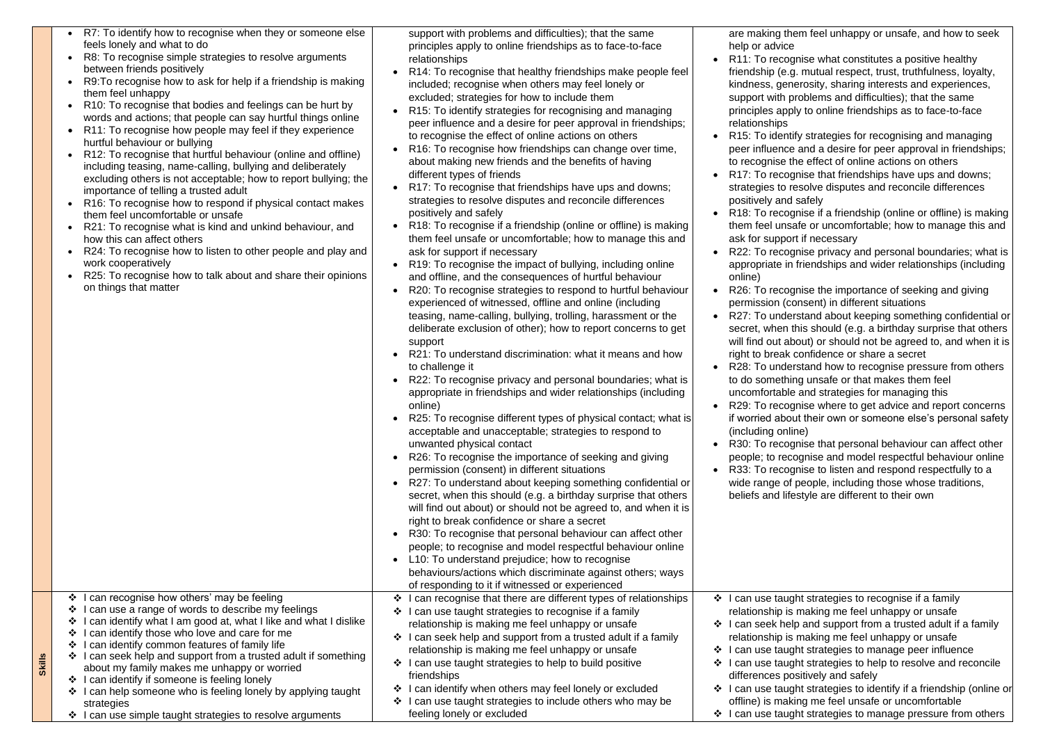| $\bullet$ | R7: To identify how to recognise when they or someone else<br>feels lonely and what to do<br>R8: To recognise simple strategies to resolve arguments<br>between friends positively<br>R9: To recognise how to ask for help if a friendship is making<br>them feel unhappy<br>R10: To recognise that bodies and feelings can be hurt by<br>words and actions; that people can say hurtful things online<br>R11: To recognise how people may feel if they experience<br>hurtful behaviour or bullying<br>R12: To recognise that hurtful behaviour (online and offline)<br>including teasing, name-calling, bullying and deliberately<br>excluding others is not acceptable; how to report bullying; the<br>importance of telling a trusted adult<br>R16: To recognise how to respond if physical contact makes<br>them feel uncomfortable or unsafe<br>R21: To recognise what is kind and unkind behaviour, and<br>how this can affect others<br>R24: To recognise how to listen to other people and play and<br>work cooperatively<br>R25: To recognise how to talk about and share their opinions<br>on things that matter |              | support with problems and difficulties); that the same<br>principles apply to online friendships as to face-to-face<br>relationships<br>R14: To recognise that healthy friendships make people feel<br>included; recognise when others may feel lonely or<br>excluded; strategies for how to include them<br>R15: To identify strategies for recognising and managing<br>peer influence and a desire for peer approval in friendships;<br>to recognise the effect of online actions on others<br>R16: To recognise how friendships can change over time,<br>about making new friends and the benefits of having<br>different types of friends<br>R17: To recognise that friendships have ups and downs;<br>strategies to resolve disputes and reconcile differences<br>positively and safely<br>R18: To recognise if a friendship (online or offline) is making<br>them feel unsafe or uncomfortable; how to manage this and<br>ask for support if necessary<br>R19: To recognise the impact of bullying, including online<br>and offline, and the consequences of hurtful behaviour<br>R20: To recognise strategies to respond to hurtful behaviour<br>experienced of witnessed, offline and online (including<br>teasing, name-calling, bullying, trolling, harassment or the<br>deliberate exclusion of other); how to report concerns to get<br>support<br>R21: To understand discrimination: what it means and how<br>to challenge it<br>R22: To recognise privacy and personal boundaries; what is<br>appropriate in friendships and wider relationships (including<br>online)<br>R25: To recognise different types of physical contact; what is<br>acceptable and unacceptable; strategies to respond to<br>unwanted physical contact<br>R26: To recognise the importance of seeking and giving<br>permission (consent) in different situations<br>R27: To understand about keeping something confidential or<br>secret, when this should (e.g. a birthday surprise that others<br>will find out about) or should not be agreed to, and when it is<br>right to break confidence or share a secret<br>R30: To recognise that personal behaviour can affect other<br>people; to recognise and model respectful behaviour online<br>L10: To understand prejudice; how to recognise<br>behaviours/actions which discriminate against others; ways<br>of responding to it if witnessed or experienced | $\bullet$<br>$\bullet$<br>$\bullet$<br>$\bullet$<br>$\bullet$<br>$\bullet$<br>$\bullet$<br>$\bullet$<br>$\bullet$<br>$\bullet$ | are making the<br>help or advice<br>R11: To recog<br>friendship (e.g<br>kindness, gene<br>support with pr<br>principles appl<br>relationships<br>R15: To identif<br>peer influence<br>to recognise th<br>R17: To recog<br>strategies to re<br>positively and<br>R18: To recog<br>them feel unsa<br>ask for support<br>R22: To recog<br>appropriate in<br>online)<br>R26: To recog<br>permission (co<br>R27: To under<br>secret, when the<br>will find out ab<br>right to break of<br>R28: To under<br>to do somethir<br>uncomfortable<br>R29: To recog<br>if worried abou<br>(including onlin<br>R30: To recog<br>people; to reco<br>R33: To recog<br>wide range of<br>beliefs and life |
|-----------|----------------------------------------------------------------------------------------------------------------------------------------------------------------------------------------------------------------------------------------------------------------------------------------------------------------------------------------------------------------------------------------------------------------------------------------------------------------------------------------------------------------------------------------------------------------------------------------------------------------------------------------------------------------------------------------------------------------------------------------------------------------------------------------------------------------------------------------------------------------------------------------------------------------------------------------------------------------------------------------------------------------------------------------------------------------------------------------------------------------------------|--------------|---------------------------------------------------------------------------------------------------------------------------------------------------------------------------------------------------------------------------------------------------------------------------------------------------------------------------------------------------------------------------------------------------------------------------------------------------------------------------------------------------------------------------------------------------------------------------------------------------------------------------------------------------------------------------------------------------------------------------------------------------------------------------------------------------------------------------------------------------------------------------------------------------------------------------------------------------------------------------------------------------------------------------------------------------------------------------------------------------------------------------------------------------------------------------------------------------------------------------------------------------------------------------------------------------------------------------------------------------------------------------------------------------------------------------------------------------------------------------------------------------------------------------------------------------------------------------------------------------------------------------------------------------------------------------------------------------------------------------------------------------------------------------------------------------------------------------------------------------------------------------------------------------------------------------------------------------------------------------------------------------------------------------------------------------------------------------------------------------------------------------------------------------------------------------------------------------------------------------------------------------------------------------------------------------------------------------------------------------------------------------------------------------------|--------------------------------------------------------------------------------------------------------------------------------|-----------------------------------------------------------------------------------------------------------------------------------------------------------------------------------------------------------------------------------------------------------------------------------------------------------------------------------------------------------------------------------------------------------------------------------------------------------------------------------------------------------------------------------------------------------------------------------------------------------------------------------------------------------------------------------------|
|           | ❖ I can recognise how others' may be feeling                                                                                                                                                                                                                                                                                                                                                                                                                                                                                                                                                                                                                                                                                                                                                                                                                                                                                                                                                                                                                                                                               |              | I can recognise that there are different types of relationships                                                                                                                                                                                                                                                                                                                                                                                                                                                                                                                                                                                                                                                                                                                                                                                                                                                                                                                                                                                                                                                                                                                                                                                                                                                                                                                                                                                                                                                                                                                                                                                                                                                                                                                                                                                                                                                                                                                                                                                                                                                                                                                                                                                                                                                                                                                                         |                                                                                                                                | ❖ I can use taugl                                                                                                                                                                                                                                                                                                                                                                                                                                                                                                                                                                                                                                                                       |
|           | I can use a range of words to describe my feelings<br>can identify what I am good at, what I like and what I dislike                                                                                                                                                                                                                                                                                                                                                                                                                                                                                                                                                                                                                                                                                                                                                                                                                                                                                                                                                                                                       |              | I can use taught strategies to recognise if a family                                                                                                                                                                                                                                                                                                                                                                                                                                                                                                                                                                                                                                                                                                                                                                                                                                                                                                                                                                                                                                                                                                                                                                                                                                                                                                                                                                                                                                                                                                                                                                                                                                                                                                                                                                                                                                                                                                                                                                                                                                                                                                                                                                                                                                                                                                                                                    |                                                                                                                                | relationship is                                                                                                                                                                                                                                                                                                                                                                                                                                                                                                                                                                                                                                                                         |
| ❖         | can identify those who love and care for me                                                                                                                                                                                                                                                                                                                                                                                                                                                                                                                                                                                                                                                                                                                                                                                                                                                                                                                                                                                                                                                                                |              | relationship is making me feel unhappy or unsafe                                                                                                                                                                                                                                                                                                                                                                                                                                                                                                                                                                                                                                                                                                                                                                                                                                                                                                                                                                                                                                                                                                                                                                                                                                                                                                                                                                                                                                                                                                                                                                                                                                                                                                                                                                                                                                                                                                                                                                                                                                                                                                                                                                                                                                                                                                                                                        |                                                                                                                                | I can seek help                                                                                                                                                                                                                                                                                                                                                                                                                                                                                                                                                                                                                                                                         |
|           | I can identify common features of family life                                                                                                                                                                                                                                                                                                                                                                                                                                                                                                                                                                                                                                                                                                                                                                                                                                                                                                                                                                                                                                                                              | $\mathbf{r}$ | I can seek help and support from a trusted adult if a family<br>relationship is making me feel unhappy or unsafe                                                                                                                                                                                                                                                                                                                                                                                                                                                                                                                                                                                                                                                                                                                                                                                                                                                                                                                                                                                                                                                                                                                                                                                                                                                                                                                                                                                                                                                                                                                                                                                                                                                                                                                                                                                                                                                                                                                                                                                                                                                                                                                                                                                                                                                                                        |                                                                                                                                | relationship is<br>I can use taugl                                                                                                                                                                                                                                                                                                                                                                                                                                                                                                                                                                                                                                                      |
|           | $\cdot$ I can seek help and support from a trusted adult if something                                                                                                                                                                                                                                                                                                                                                                                                                                                                                                                                                                                                                                                                                                                                                                                                                                                                                                                                                                                                                                                      |              | I can use taught strategies to help to build positive                                                                                                                                                                                                                                                                                                                                                                                                                                                                                                                                                                                                                                                                                                                                                                                                                                                                                                                                                                                                                                                                                                                                                                                                                                                                                                                                                                                                                                                                                                                                                                                                                                                                                                                                                                                                                                                                                                                                                                                                                                                                                                                                                                                                                                                                                                                                                   | ❖                                                                                                                              | can use taugl                                                                                                                                                                                                                                                                                                                                                                                                                                                                                                                                                                                                                                                                           |
|           | about my family makes me unhappy or worried                                                                                                                                                                                                                                                                                                                                                                                                                                                                                                                                                                                                                                                                                                                                                                                                                                                                                                                                                                                                                                                                                |              | friendships                                                                                                                                                                                                                                                                                                                                                                                                                                                                                                                                                                                                                                                                                                                                                                                                                                                                                                                                                                                                                                                                                                                                                                                                                                                                                                                                                                                                                                                                                                                                                                                                                                                                                                                                                                                                                                                                                                                                                                                                                                                                                                                                                                                                                                                                                                                                                                                             |                                                                                                                                | differences po:                                                                                                                                                                                                                                                                                                                                                                                                                                                                                                                                                                                                                                                                         |
|           | ❖ I can identify if someone is feeling lonely                                                                                                                                                                                                                                                                                                                                                                                                                                                                                                                                                                                                                                                                                                                                                                                                                                                                                                                                                                                                                                                                              |              | I can identify when others may feel lonely or excluded                                                                                                                                                                                                                                                                                                                                                                                                                                                                                                                                                                                                                                                                                                                                                                                                                                                                                                                                                                                                                                                                                                                                                                                                                                                                                                                                                                                                                                                                                                                                                                                                                                                                                                                                                                                                                                                                                                                                                                                                                                                                                                                                                                                                                                                                                                                                                  | $\mathbf{v}$                                                                                                                   | l can use taugl                                                                                                                                                                                                                                                                                                                                                                                                                                                                                                                                                                                                                                                                         |
|           | ❖ I can help someone who is feeling lonely by applying taught                                                                                                                                                                                                                                                                                                                                                                                                                                                                                                                                                                                                                                                                                                                                                                                                                                                                                                                                                                                                                                                              |              |                                                                                                                                                                                                                                                                                                                                                                                                                                                                                                                                                                                                                                                                                                                                                                                                                                                                                                                                                                                                                                                                                                                                                                                                                                                                                                                                                                                                                                                                                                                                                                                                                                                                                                                                                                                                                                                                                                                                                                                                                                                                                                                                                                                                                                                                                                                                                                                                         |                                                                                                                                |                                                                                                                                                                                                                                                                                                                                                                                                                                                                                                                                                                                                                                                                                         |
|           | strategies                                                                                                                                                                                                                                                                                                                                                                                                                                                                                                                                                                                                                                                                                                                                                                                                                                                                                                                                                                                                                                                                                                                 |              | ❖ I can use taught strategies to include others who may be                                                                                                                                                                                                                                                                                                                                                                                                                                                                                                                                                                                                                                                                                                                                                                                                                                                                                                                                                                                                                                                                                                                                                                                                                                                                                                                                                                                                                                                                                                                                                                                                                                                                                                                                                                                                                                                                                                                                                                                                                                                                                                                                                                                                                                                                                                                                              |                                                                                                                                | offline) is maki                                                                                                                                                                                                                                                                                                                                                                                                                                                                                                                                                                                                                                                                        |
|           | ❖ I can use simple taught strategies to resolve arguments                                                                                                                                                                                                                                                                                                                                                                                                                                                                                                                                                                                                                                                                                                                                                                                                                                                                                                                                                                                                                                                                  |              | feeling lonely or excluded                                                                                                                                                                                                                                                                                                                                                                                                                                                                                                                                                                                                                                                                                                                                                                                                                                                                                                                                                                                                                                                                                                                                                                                                                                                                                                                                                                                                                                                                                                                                                                                                                                                                                                                                                                                                                                                                                                                                                                                                                                                                                                                                                                                                                                                                                                                                                                              |                                                                                                                                | ❖ I can use taugl                                                                                                                                                                                                                                                                                                                                                                                                                                                                                                                                                                                                                                                                       |

ing me feel unsafe or uncomfortable ❖ I can use taught strategies to manage pressure from others

**Skills**

em feel unhappy or unsafe, and how to seek

inise what constitutes a positive healthy . mutual respect, trust, truthfulness, loyalty, erosity, sharing interests and experiences, roblems and difficulties); that the same ly to online friendships as to face-to-face

fy strategies for recognising and managing and a desire for peer approval in friendships; he effect of online actions on others

inise that friendships have ups and downs; esolve disputes and reconcile differences safely

Inise if a friendship (online or offline) is making afe or uncomfortable; how to manage this and rt if necessary

Inise privacy and personal boundaries; what is friendships and wider relationships (including

inise the importance of seeking and giving pnsent) in different situations

rstand about keeping something confidential or his should (e.g. a birthday surprise that others out) or should not be agreed to, and when it is confidence or share a secret

rstand how to recognise pressure from others ng unsafe or that makes them feel

and strategies for managing this

inise where to get advice and report concerns ut their own or someone else's personal safety ne)

Inise that personal behaviour can affect other peoples and model respectful behaviour online inise to listen and respond respectfully to a

people, including those whose traditions,

estyle are different to their own

ht strategies to recognise if a family making me feel unhappy or unsafe Ip and support from a trusted adult if a family making me feel unhappy or unsafe ht strategies to manage peer influence ht strategies to help to resolve and reconcile sitively and safely ht strategies to identify if a friendship (online or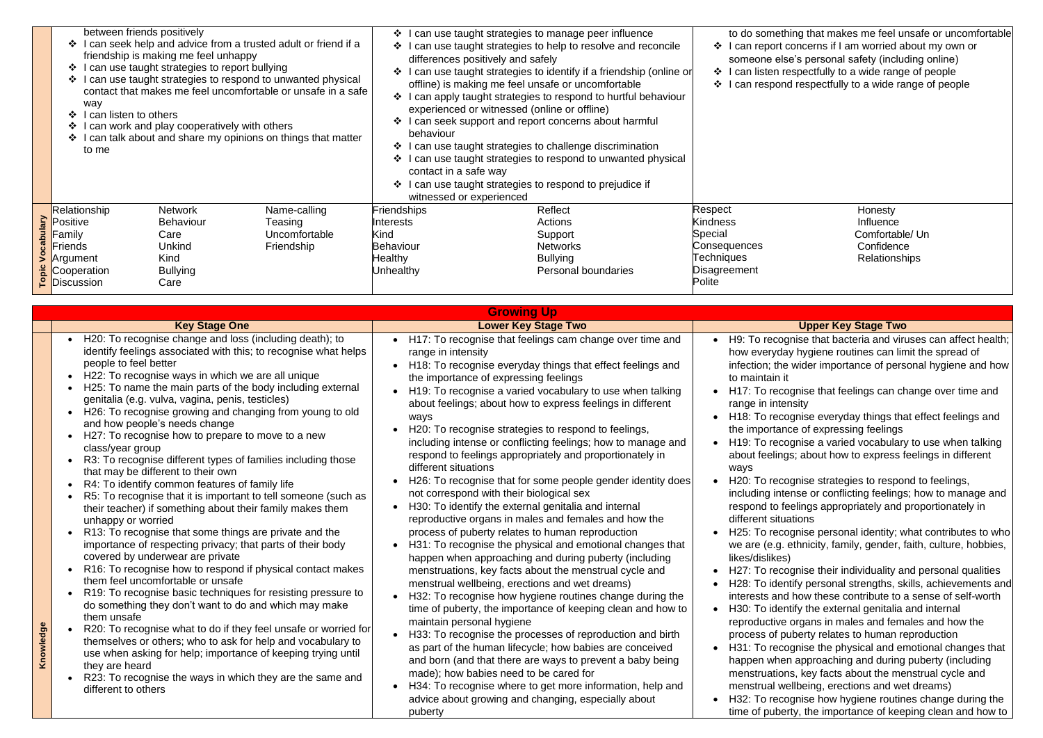|            | between friends positively<br>I can seek help and advice from a trusted adult or friend if a<br>friendship is making me feel unhappy<br>can use taught strategies to report bullying<br>❖<br>can use taught strategies to respond to unwanted physical<br>$\cdot$<br>contact that makes me feel uncomfortable or unsafe in a safe<br>way<br>can listen to others<br>can work and play cooperatively with others<br>can talk about and share my opinions on things that matter<br>to me |                                    |                         | can use taught strategies to manage peer influence<br>can use taught strategies to help to resolve and reconcile<br>differences positively and safely<br>can use taught strategies to identify if a friendship (online or<br>offline) is making me feel unsafe or uncomfortable<br>I can apply taught strategies to respond to hurtful behaviour<br>experienced or witnessed (online or offline)<br>can seek support and report concerns about harmful<br>behaviour<br>I can use taught strategies to challenge discrimination<br>$\ddot{\bullet}$<br>can use taught strategies to respond to unwanted physical<br>contact in a safe way<br>can use taught strategies to respond to prejudice if<br>witnessed or experienced | to do somet<br>l can report<br>$\ddot{\mathbf{v}}$<br>someone els<br>can listen r<br>❖<br>$\frac{1}{2}$<br>can respon |                            |
|------------|----------------------------------------------------------------------------------------------------------------------------------------------------------------------------------------------------------------------------------------------------------------------------------------------------------------------------------------------------------------------------------------------------------------------------------------------------------------------------------------|------------------------------------|-------------------------|------------------------------------------------------------------------------------------------------------------------------------------------------------------------------------------------------------------------------------------------------------------------------------------------------------------------------------------------------------------------------------------------------------------------------------------------------------------------------------------------------------------------------------------------------------------------------------------------------------------------------------------------------------------------------------------------------------------------------|-----------------------------------------------------------------------------------------------------------------------|----------------------------|
| <b>Ale</b> | Relationship<br>Positive                                                                                                                                                                                                                                                                                                                                                                                                                                                               | <b>Network</b><br><b>Behaviour</b> | Name-calling<br>Teasing | Friendships<br>Interests                                                                                                                                                                                                                                                                                                                                                                                                                                                                                                                                                                                                                                                                                                     | Reflect<br>Actions                                                                                                    | Respect<br><b>Kindness</b> |
|            | Family                                                                                                                                                                                                                                                                                                                                                                                                                                                                                 | Care                               | Uncomfortable           | Kind                                                                                                                                                                                                                                                                                                                                                                                                                                                                                                                                                                                                                                                                                                                         | Support                                                                                                               | Special                    |
| ರ<br>೧     | Friends                                                                                                                                                                                                                                                                                                                                                                                                                                                                                | Friendship<br>Unkind               |                         | <b>Behaviour</b>                                                                                                                                                                                                                                                                                                                                                                                                                                                                                                                                                                                                                                                                                                             | <b>Networks</b>                                                                                                       | Consequences               |
|            | Argument                                                                                                                                                                                                                                                                                                                                                                                                                                                                               | <b>Kind</b>                        |                         | Healthy                                                                                                                                                                                                                                                                                                                                                                                                                                                                                                                                                                                                                                                                                                                      | <b>Bullying</b>                                                                                                       | <b>Techniques</b>          |
|            | Cooperation                                                                                                                                                                                                                                                                                                                                                                                                                                                                            | <b>Bullying</b>                    |                         | <b>Unhealthy</b>                                                                                                                                                                                                                                                                                                                                                                                                                                                                                                                                                                                                                                                                                                             | Personal boundaries                                                                                                   | Disagreement               |
|            | <b>E</b> Cooperation<br><b>P</b> Discussion                                                                                                                                                                                                                                                                                                                                                                                                                                            | Care                               |                         |                                                                                                                                                                                                                                                                                                                                                                                                                                                                                                                                                                                                                                                                                                                              |                                                                                                                       | Polite                     |

Honesty Influence Comfortable/ Un **Confidence** Relationships

## **Key Stage Two**

inise that bacteria and viruses can affect health; ly hygiene routines can limit the spread of wider importance of personal hygiene and how

- ognise that feelings can change over time and nsity
- gnise everyday things that effect feelings and ce of expressing feelings
- gnise a varied vocabulary to use when talking as; about how to express feelings in different
- gnise strategies to respond to feelings,
- ense or conflicting feelings; how to manage and elings appropriately and proportionately in ations
- $9$ gnise personal identity; what contributes to who ethnicity, family, gender, faith, culture, hobbies,
- eqnise their individuality and personal qualities tify personal strengths, skills, achievements and I how these contribute to a sense of self-worth tify the external genitalia and internal
- organs in males and females and how the uberty relates to human reproduction
- equise the physical and emotional changes that n approaching and during puberty (including ns, key facts about the menstrual cycle and ellbeing, erections and wet dreams)
- gnise how hygiene routines change during the rty, the importance of keeping clean and how to

|           |                                                                                                                                                                                                                                                                                                                                                                                                                                                                                                                                                                                                                                                                                                                                                                                                                                                                                                                                                                                                                                                                                                                                                                                                                                                                                                                                                                                                                                                                                                                                                                                                              | <b>Growing Up</b>                                                                                                                                                                                                                                                                                                                                                                                                                                                                                                                                                                                                                                                                                                                                                                                                                                                                                                                                                                                                                                                                                                                                                                                                                                                                                                                                                                                                                                                                                                                                                            |                                                                                                                                                                                                                                                                                                                                                                                                                                                                                                                                                |
|-----------|--------------------------------------------------------------------------------------------------------------------------------------------------------------------------------------------------------------------------------------------------------------------------------------------------------------------------------------------------------------------------------------------------------------------------------------------------------------------------------------------------------------------------------------------------------------------------------------------------------------------------------------------------------------------------------------------------------------------------------------------------------------------------------------------------------------------------------------------------------------------------------------------------------------------------------------------------------------------------------------------------------------------------------------------------------------------------------------------------------------------------------------------------------------------------------------------------------------------------------------------------------------------------------------------------------------------------------------------------------------------------------------------------------------------------------------------------------------------------------------------------------------------------------------------------------------------------------------------------------------|------------------------------------------------------------------------------------------------------------------------------------------------------------------------------------------------------------------------------------------------------------------------------------------------------------------------------------------------------------------------------------------------------------------------------------------------------------------------------------------------------------------------------------------------------------------------------------------------------------------------------------------------------------------------------------------------------------------------------------------------------------------------------------------------------------------------------------------------------------------------------------------------------------------------------------------------------------------------------------------------------------------------------------------------------------------------------------------------------------------------------------------------------------------------------------------------------------------------------------------------------------------------------------------------------------------------------------------------------------------------------------------------------------------------------------------------------------------------------------------------------------------------------------------------------------------------------|------------------------------------------------------------------------------------------------------------------------------------------------------------------------------------------------------------------------------------------------------------------------------------------------------------------------------------------------------------------------------------------------------------------------------------------------------------------------------------------------------------------------------------------------|
|           | <b>Key Stage One</b>                                                                                                                                                                                                                                                                                                                                                                                                                                                                                                                                                                                                                                                                                                                                                                                                                                                                                                                                                                                                                                                                                                                                                                                                                                                                                                                                                                                                                                                                                                                                                                                         | <b>Lower Key Stage Two</b>                                                                                                                                                                                                                                                                                                                                                                                                                                                                                                                                                                                                                                                                                                                                                                                                                                                                                                                                                                                                                                                                                                                                                                                                                                                                                                                                                                                                                                                                                                                                                   |                                                                                                                                                                                                                                                                                                                                                                                                                                                                                                                                                |
| Knowledge | • H20: To recognise change and loss (including death); to<br>identify feelings associated with this; to recognise what helps<br>people to feel better<br>H22: To recognise ways in which we are all unique<br>$\bullet$<br>H25: To name the main parts of the body including external<br>genitalia (e.g. vulva, vagina, penis, testicles)<br>H26: To recognise growing and changing from young to old<br>$\bullet$<br>and how people's needs change<br>H27: To recognise how to prepare to move to a new<br>$\bullet$<br>class/year group<br>R3: To recognise different types of families including those<br>that may be different to their own<br>R4: To identify common features of family life<br>$\bullet$<br>R5: To recognise that it is important to tell someone (such as<br>$\bullet$<br>their teacher) if something about their family makes them<br>unhappy or worried<br>R13: To recognise that some things are private and the<br>importance of respecting privacy; that parts of their body<br>covered by underwear are private<br>R16: To recognise how to respond if physical contact makes<br>them feel uncomfortable or unsafe<br>R19: To recognise basic techniques for resisting pressure to<br>$\bullet$<br>do something they don't want to do and which may make<br>them unsafe<br>R20: To recognise what to do if they feel unsafe or worried for<br>themselves or others; who to ask for help and vocabulary to<br>use when asking for help; importance of keeping trying until<br>they are heard<br>R23: To recognise the ways in which they are the same and<br>different to others | H17: To recognise that feelings cam change over time and<br>range in intensity<br>H18: To recognise everyday things that effect feelings and<br>the importance of expressing feelings<br>H19: To recognise a varied vocabulary to use when talking<br>about feelings; about how to express feelings in different<br>ways<br>H20: To recognise strategies to respond to feelings,<br>including intense or conflicting feelings; how to manage and<br>respond to feelings appropriately and proportionately in<br>different situations<br>H26: To recognise that for some people gender identity does<br>not correspond with their biological sex<br>H30: To identify the external genitalia and internal<br>reproductive organs in males and females and how the<br>process of puberty relates to human reproduction<br>H31: To recognise the physical and emotional changes that<br>happen when approaching and during puberty (including<br>menstruations, key facts about the menstrual cycle and<br>menstrual wellbeing, erections and wet dreams)<br>H32: To recognise how hygiene routines change during the<br>time of puberty, the importance of keeping clean and how to<br>maintain personal hygiene<br>H33: To recognise the processes of reproduction and birth<br>as part of the human lifecycle; how babies are conceived<br>and born (and that there are ways to prevent a baby being<br>made); how babies need to be cared for<br>H34: To recognise where to get more information, help and<br>advice about growing and changing, especially about<br>puberty | H9: To recog<br>how everyday<br>infection; the<br>to maintain it<br>H17: To reco<br>range in inter<br>H <sub>18</sub> : To reco<br>the importand<br>H19: To reco<br>about feeling<br>ways<br>H20: To reco<br>including inte<br>respond to fe<br>different situa<br>H <sub>25</sub> : To reco<br>we are (e.g. $\epsilon$<br>likes/dislikes)<br>H27: To reco<br>H28: To ident<br>interests and<br>H30: To ident<br>reproductive<br>process of pu<br>H31: To reco<br>happen wher<br>menstruation<br>menstrual we<br>H32: To reco<br>time of puber |

hing that makes me feel unsafe or uncomfortable concerns if I am worried about my own or se's personal safety (including online) respectfully to a wide range of people od respectfully to a wide range of people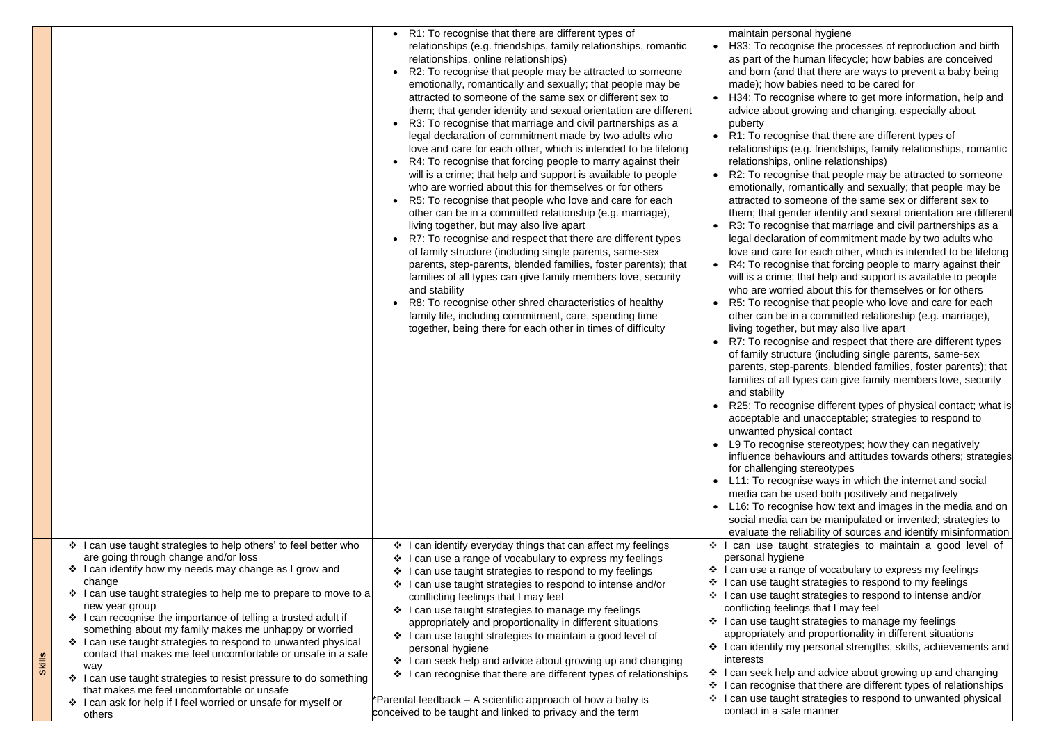|               |                                                                                                                                                                                                                                                                                                                                                                                                                                                                                                                                                                                                                                                                                                                                      | R1: To recognise that there are different types of<br>relationships (e.g. friendships, family relationships, romantic<br>relationships, online relationships)<br>R2: To recognise that people may be attracted to someone<br>emotionally, romantically and sexually; that people may be<br>attracted to someone of the same sex or different sex to<br>them; that gender identity and sexual orientation are different<br>R3: To recognise that marriage and civil partnerships as a<br>legal declaration of commitment made by two adults who<br>love and care for each other, which is intended to be lifelong<br>R4: To recognise that forcing people to marry against their<br>$\bullet$<br>will is a crime; that help and support is available to people<br>who are worried about this for themselves or for others | maintain perso<br>H33: To recog<br>as part of the I<br>and born (and<br>made); how ba<br>H34: To recog<br>advice about o<br>puberty<br>R1: To recogn<br>relationships (<br>relationships,<br>R2: To recogn<br>emotionally, ro                                                                                                                                                                                                                                                                    |
|---------------|--------------------------------------------------------------------------------------------------------------------------------------------------------------------------------------------------------------------------------------------------------------------------------------------------------------------------------------------------------------------------------------------------------------------------------------------------------------------------------------------------------------------------------------------------------------------------------------------------------------------------------------------------------------------------------------------------------------------------------------|--------------------------------------------------------------------------------------------------------------------------------------------------------------------------------------------------------------------------------------------------------------------------------------------------------------------------------------------------------------------------------------------------------------------------------------------------------------------------------------------------------------------------------------------------------------------------------------------------------------------------------------------------------------------------------------------------------------------------------------------------------------------------------------------------------------------------|--------------------------------------------------------------------------------------------------------------------------------------------------------------------------------------------------------------------------------------------------------------------------------------------------------------------------------------------------------------------------------------------------------------------------------------------------------------------------------------------------|
|               |                                                                                                                                                                                                                                                                                                                                                                                                                                                                                                                                                                                                                                                                                                                                      | R5: To recognise that people who love and care for each<br>other can be in a committed relationship (e.g. marriage),<br>living together, but may also live apart<br>R7: To recognise and respect that there are different types<br>of family structure (including single parents, same-sex<br>parents, step-parents, blended families, foster parents); that<br>families of all types can give family members love, security<br>and stability<br>R8: To recognise other shred characteristics of healthy<br>family life, including commitment, care, spending time<br>together, being there for each other in times of difficulty                                                                                                                                                                                        | attracted to so<br>them; that ger<br>R3: To recogn<br>legal declarati<br>love and care<br>R4: To recogn<br>will is a crime;<br>who are worrie<br>R5: To recogn<br>other can be in<br>living together<br>R7: To recogn<br>of family struc<br>parents, step-<br>families of all t<br>and stability<br>R25: To recog<br>acceptable an<br>unwanted phy<br>L9 To recognis<br>influence beha<br>for challenging<br>L11: To recog<br>media can be<br>L16: To recog<br>social media c<br>evaluate the re |
| <b>Skills</b> | ❖ I can use taught strategies to help others' to feel better who<br>are going through change and/or loss<br>❖ I can identify how my needs may change as I grow and<br>change<br>❖ I can use taught strategies to help me to prepare to move to a<br>new year group<br>I can recognise the importance of telling a trusted adult if<br>❖<br>something about my family makes me unhappy or worried<br>I can use taught strategies to respond to unwanted physical<br>contact that makes me feel uncomfortable or unsafe in a safe<br>way<br>❖ I can use taught strategies to resist pressure to do something<br>that makes me feel uncomfortable or unsafe<br>❖ I can ask for help if I feel worried or unsafe for myself or<br>others | ❖ I can identify everyday things that can affect my feelings<br>I can use a range of vocabulary to express my feelings<br>❖<br>I can use taught strategies to respond to my feelings<br>❖<br>I can use taught strategies to respond to intense and/or<br>$\frac{1}{2}$<br>conflicting feelings that I may feel<br>❖ I can use taught strategies to manage my feelings<br>appropriately and proportionality in different situations<br>❖ I can use taught strategies to maintain a good level of<br>personal hygiene<br>❖ I can seek help and advice about growing up and changing<br>I can recognise that there are different types of relationships<br>❖<br>*Parental feedback - A scientific approach of how a baby is<br>conceived to be taught and linked to privacy and the term                                    | ❖ I can use tau<br>personal hygier<br>$\div$ I can use a ranger<br>❖ I can use taugh<br>❖ I can use taugh<br>conflicting feeli<br>❖ I can use taugh<br>appropriately a<br>$\div$ I can identify m<br>interests<br>❖ I can seek help<br>❖ I can recognise<br>❖ I can use taugh<br>contact in a saf                                                                                                                                                                                                |

onal hygiene

inise the processes of reproduction and birth human lifecycle; how babies are conceived that there are ways to prevent a baby being abies need to be cared for

anise where to get more information, help and growing and changing, especially about

ise that there are different types of

(e.g. friendships, family relationships, romantic online relationships)

ise that people may be attracted to someone omantically and sexually; that people may be omeone of the same sex or different sex to der identity and sexual orientation are different ise that marriage and civil partnerships as a ion of commitment made by two adults who for each other, which is intended to be lifelong ise that forcing people to marry against their that help and support is available to people ed about this for themselves or for others ise that people who love and care for each in a committed relationship (e.g. marriage), , but may also live apart

ise and respect that there are different types ture (including single parents, same-sex parents, blended families, foster parents); that types can give family members love, security

) inise different types of physical contact; what is ad unacceptable; strategies to respond to sical contact

ise stereotypes; how they can negatively aviours and attitudes towards others; strategies g stereotypes

inise ways in which the internet and social used both positively and negatively

inise how text and images in the media and on can be manipulated or invented; strategies to eliability of sources and identify misinformation ght strategies to maintain a good level of ne

ge of vocabulary to express my feelings nt strategies to respond to my feelings nt strategies to respond to intense and/or ings that I may feel

ot strategies to manage my feelings and proportionality in different situations ny personal strengths, skills, achievements and

and advice about growing up and changing that there are different types of relationships at strategies to respond to unwanted physical fe manner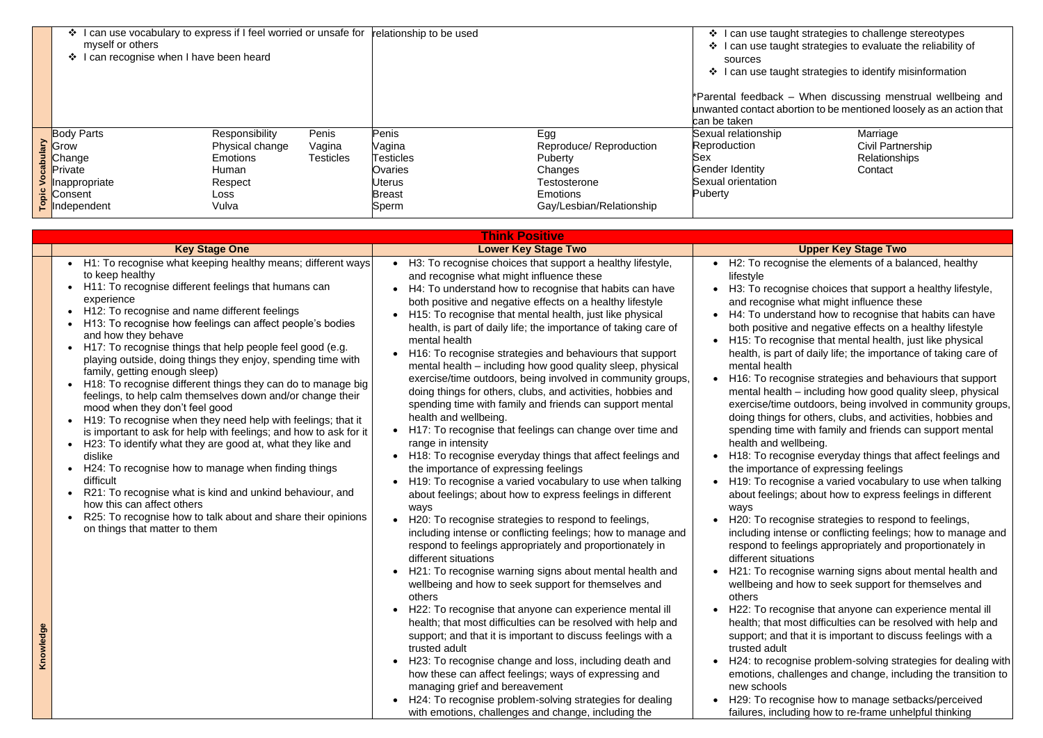| ❖ I can use vocabulary to express if I feel worried or unsafe for<br>myself or others<br>I can recognise when I have been heard<br>$\mathbf{v}$ |                                                           | relationship to be used |                  | ❖ I can use taug<br>$\Leftrightarrow$  <br>I can use tauc<br>sources<br>$\mathbf{A}$<br>l can use taug |                          |                                                           |
|-------------------------------------------------------------------------------------------------------------------------------------------------|-----------------------------------------------------------|-------------------------|------------------|--------------------------------------------------------------------------------------------------------|--------------------------|-----------------------------------------------------------|
|                                                                                                                                                 |                                                           |                         |                  |                                                                                                        |                          | *Parental feedback<br>unwanted contact ab<br>can be taken |
|                                                                                                                                                 | <b>Body Parts</b>                                         | Responsibility          | Penis            | <b>Penis</b>                                                                                           | Egg                      | Sexual relationship                                       |
|                                                                                                                                                 | <b>Draw</b><br>Chang<br><b>Privat</b><br>Privat<br>Plnapp | Physical change         | Vagina           | Vagina                                                                                                 | Reproduce/ Reproduction  | Reproduction                                              |
|                                                                                                                                                 | Change                                                    | Emotions                | <b>Testicles</b> | Testicles                                                                                              | Puberty                  | Sex                                                       |
|                                                                                                                                                 | Private                                                   | Human                   |                  | Ovaries                                                                                                | Changes                  | <b>Gender Identity</b>                                    |
|                                                                                                                                                 | Inappropriate                                             | Respect                 |                  | <b>Uterus</b>                                                                                          | <b>Testosterone</b>      | Sexual orientation                                        |
|                                                                                                                                                 |                                                           | Loss                    |                  | <b>Breast</b>                                                                                          | <b>Emotions</b>          | Puberty                                                   |
|                                                                                                                                                 | $\frac{2}{5}$ Consent                                     | Vulva                   |                  | Sperm                                                                                                  | Gay/Lesbian/Relationship |                                                           |

Marriage Civil Partnership Relationships **Contact** 

**Key Stage Two** 

hise the elements of a balanced, healthy

hise choices that support a healthy lifestyle, e what might influence these

stand how to recognise that habits can have and negative effects on a healthy lifestyle qnise that mental health, just like physical of daily life; the importance of taking care of

qnise strategies and behaviours that support  $-$  including how good quality sleep, physical outdoors, being involved in community groups, or others, clubs, and activities, hobbies and s with family and friends can support mental ellbeing.

qnise everyday things that affect feelings and the of expressing feelings

gnise a varied vocabulary to use when talking s; about how to express feelings in different

qnise strategies to respond to feelings, nse or conflicting feelings; how to manage and elings appropriately and proportionately in tions

qnise warning signs about mental health and I how to seek support for themselves and

gnise that anyone can experience mental ill lost difficulties can be resolved with help and that it is important to discuss feelings with a

nise problem-solving strategies for dealing with allenges and change, including the transition to

gnise how to manage setbacks/perceived ding how to re-frame unhelpful thinking

|           | <b>Think Positive</b>                                                                                                                                                                                                                                                                                                                                                                                                                                                                                                                                                                                                                                                                                                                                                                                                                                                                                                                                                                                                                                                                                                                                                 |                                                                                                                                                                                                                                                                                                                                                                                                                                                                                                                                                                                                                                                                                                                                                                                                                                                                                                                                                                                                                                                                                                                                                                                                                                                                                                                                                                                                                                                                                                                                                                                                                                                                                                                                                                                                                                                                                                                                                                                 |                                                                                                                                                                                                                                                                                                                                                                                                                                                                                                                                                                                                                                                                                                        |
|-----------|-----------------------------------------------------------------------------------------------------------------------------------------------------------------------------------------------------------------------------------------------------------------------------------------------------------------------------------------------------------------------------------------------------------------------------------------------------------------------------------------------------------------------------------------------------------------------------------------------------------------------------------------------------------------------------------------------------------------------------------------------------------------------------------------------------------------------------------------------------------------------------------------------------------------------------------------------------------------------------------------------------------------------------------------------------------------------------------------------------------------------------------------------------------------------|---------------------------------------------------------------------------------------------------------------------------------------------------------------------------------------------------------------------------------------------------------------------------------------------------------------------------------------------------------------------------------------------------------------------------------------------------------------------------------------------------------------------------------------------------------------------------------------------------------------------------------------------------------------------------------------------------------------------------------------------------------------------------------------------------------------------------------------------------------------------------------------------------------------------------------------------------------------------------------------------------------------------------------------------------------------------------------------------------------------------------------------------------------------------------------------------------------------------------------------------------------------------------------------------------------------------------------------------------------------------------------------------------------------------------------------------------------------------------------------------------------------------------------------------------------------------------------------------------------------------------------------------------------------------------------------------------------------------------------------------------------------------------------------------------------------------------------------------------------------------------------------------------------------------------------------------------------------------------------|--------------------------------------------------------------------------------------------------------------------------------------------------------------------------------------------------------------------------------------------------------------------------------------------------------------------------------------------------------------------------------------------------------------------------------------------------------------------------------------------------------------------------------------------------------------------------------------------------------------------------------------------------------------------------------------------------------|
|           | <b>Key Stage One</b>                                                                                                                                                                                                                                                                                                                                                                                                                                                                                                                                                                                                                                                                                                                                                                                                                                                                                                                                                                                                                                                                                                                                                  | <b>Lower Key Stage Two</b>                                                                                                                                                                                                                                                                                                                                                                                                                                                                                                                                                                                                                                                                                                                                                                                                                                                                                                                                                                                                                                                                                                                                                                                                                                                                                                                                                                                                                                                                                                                                                                                                                                                                                                                                                                                                                                                                                                                                                      |                                                                                                                                                                                                                                                                                                                                                                                                                                                                                                                                                                                                                                                                                                        |
| Knowledge | H1: To recognise what keeping healthy means; different ways<br>to keep healthy<br>H11: To recognise different feelings that humans can<br>experience<br>H12: To recognise and name different feelings<br>H13: To recognise how feelings can affect people's bodies<br>and how they behave<br>H17: To recognise things that help people feel good (e.g.<br>$\bullet$<br>playing outside, doing things they enjoy, spending time with<br>family, getting enough sleep)<br>H <sub>18</sub> : To recognise different things they can do to manage big<br>feelings, to help calm themselves down and/or change their<br>mood when they don't feel good<br>H19: To recognise when they need help with feelings; that it<br>is important to ask for help with feelings; and how to ask for it<br>H23: To identify what they are good at, what they like and<br>$\bullet$<br>dislike<br>H24: To recognise how to manage when finding things<br>$\bullet$<br>difficult<br>R21: To recognise what is kind and unkind behaviour, and<br>how this can affect others<br>R25: To recognise how to talk about and share their opinions<br>$\bullet$<br>on things that matter to them | H3: To recognise choices that support a healthy lifestyle,<br>$\bullet$<br>and recognise what might influence these<br>H4: To understand how to recognise that habits can have<br>both positive and negative effects on a healthy lifestyle<br>H15: To recognise that mental health, just like physical<br>health, is part of daily life; the importance of taking care of<br>mental health<br>H <sub>16</sub> : To recognise strategies and behaviours that support<br>$\bullet$<br>mental health - including how good quality sleep, physical<br>exercise/time outdoors, being involved in community groups,<br>doing things for others, clubs, and activities, hobbies and<br>spending time with family and friends can support mental<br>health and wellbeing.<br>H17: To recognise that feelings can change over time and<br>range in intensity<br>H18: To recognise everyday things that affect feelings and<br>$\bullet$<br>the importance of expressing feelings<br>H19: To recognise a varied vocabulary to use when talking<br>about feelings; about how to express feelings in different<br>ways<br>H20: To recognise strategies to respond to feelings,<br>including intense or conflicting feelings; how to manage and<br>respond to feelings appropriately and proportionately in<br>different situations<br>H21: To recognise warning signs about mental health and<br>$\bullet$<br>wellbeing and how to seek support for themselves and<br>others<br>H22: To recognise that anyone can experience mental ill<br>health; that most difficulties can be resolved with help and<br>support; and that it is important to discuss feelings with a<br>trusted adult<br>H23: To recognise change and loss, including death and<br>$\bullet$<br>how these can affect feelings; ways of expressing and<br>managing grief and bereavement<br>H24: To recognise problem-solving strategies for dealing<br>$\bullet$<br>with emotions, challenges and change, including the | H2: To recogr<br>lifestyle<br>H3: To recogr<br>and recognise<br>H4: To unders<br>both positive<br>H <sub>15</sub> : To recog<br>health, is part<br>mental health<br>H <sub>16</sub> : To recog<br>mental health<br>exercise/time<br>doing things f<br>spending time<br>health and we<br>H18: To recog<br>the importanc<br>H <sub>19</sub> : To recog<br>about feelings<br>ways<br>H20: To recog<br>including inter<br>respond to fee<br>different situa<br>H <sub>21</sub> : To recog<br>wellbeing and<br>others<br>H22: To recog<br>health; that m<br>support; and t<br>trusted adult<br>H <sub>24</sub> : to recog<br>emotions, cha<br>new schools<br>H <sub>29</sub> : To recog<br>failures, includ |

ght strategies to challenge stereotypes ght strategies to evaluate the reliability of

ght strategies to identify misinformation

- When discussing menstrual wellbeing and oortion to be mentioned loosely as an action that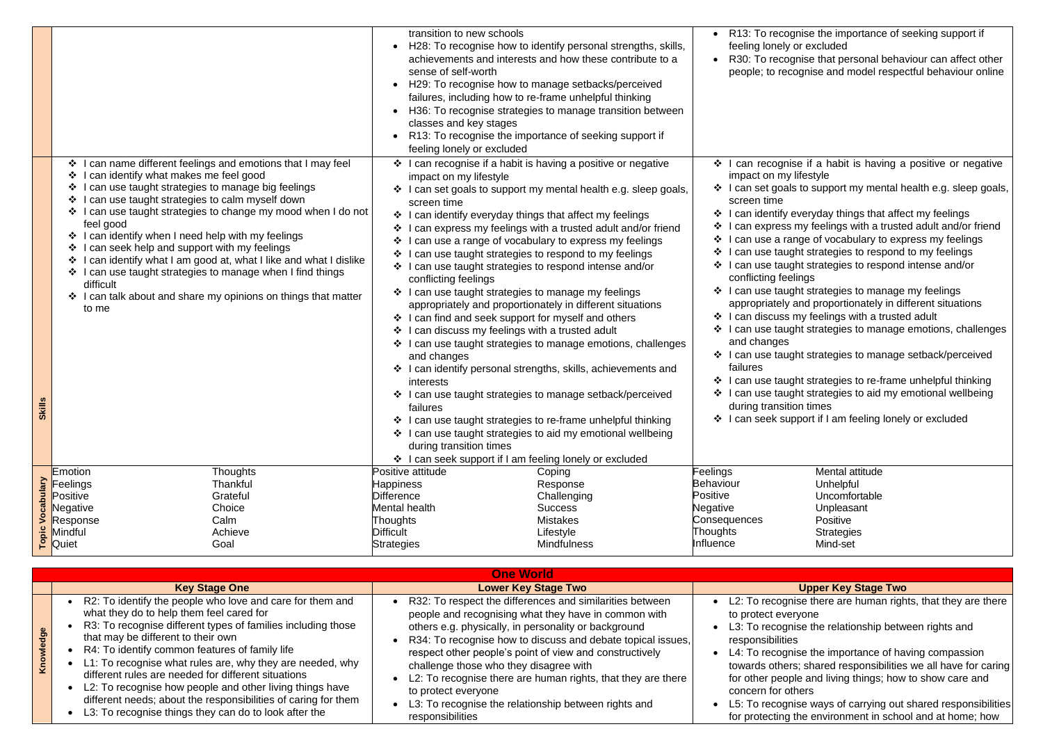| transition to new schools<br>$\bullet$<br>sense of self-worth<br>H29: To recognise how to manage setbacks/perceived<br>failures, including how to re-frame unhelpful thinking<br>classes and key stages<br>R13: To recognise the importance of seeking support if<br>feeling lonely or excluded<br>I can name different feelings and emotions that I may feel<br>$\ddot{\psi}$<br>I can recognise if a habit is having a positive or negative<br>$\ddot{\bullet}$<br>I can identify what makes me feel good<br>❖<br>impact on my lifestyle<br>I can use taught strategies to manage big feelings<br>❖<br>I can use taught strategies to calm myself down<br>❖<br>screen time<br>I can use taught strategies to change my mood when I do not<br>❖ I can identify everyday things that affect my feelings<br>feel good<br>I can express my feelings with a trusted adult and/or friend<br>I can identify when I need help with my feelings<br>豪。<br>I can use a range of vocabulary to express my feelings<br>❖<br>I can seek help and support with my feelings<br>I can use taught strategies to respond to my feelings<br>❖<br>can identify what I am good at, what I like and what I dislike<br>❖<br>I can use taught strategies to respond intense and/or<br>❖<br>I can use taught strategies to manage when I find things<br>❖<br>conflicting feelings<br>difficult<br>❖ I can use taught strategies to manage my feelings<br>I can talk about and share my opinions on things that matter<br>appropriately and proportionately in different situations<br>to me<br>❖ I can find and seek support for myself and others<br>I can discuss my feelings with a trusted adult<br>❖<br>and changes<br>interests<br>I can use taught strategies to manage setback/perceived<br>❖<br>kills<br>failures<br>n<br>I can use taught strategies to re-frame unhelpful thinking<br>❖<br>I can use taught strategies to aid my emotional wellbeing<br>$\ddot{\bullet}$<br>during transition times<br>I can seek support if I am feeling lonely or excluded<br>Positive attitude<br>Emotion<br><b>Thoughts</b><br>Coping<br>Thankful<br>Feelings<br><b>Happiness</b><br>Response<br>Grateful<br>Difference<br>Positive<br>Challenging<br>Mental health<br>Choice<br><b>Success</b><br>Negative<br>Calm<br><b>Mistakes</b><br>Response<br><b>Thoughts</b><br>ēς<br>Mindful<br>Achieve<br><b>Difficult</b><br>Lifestyle |                         |                                                                                                                                                                                        |                                                                                                                                        |
|-----------------------------------------------------------------------------------------------------------------------------------------------------------------------------------------------------------------------------------------------------------------------------------------------------------------------------------------------------------------------------------------------------------------------------------------------------------------------------------------------------------------------------------------------------------------------------------------------------------------------------------------------------------------------------------------------------------------------------------------------------------------------------------------------------------------------------------------------------------------------------------------------------------------------------------------------------------------------------------------------------------------------------------------------------------------------------------------------------------------------------------------------------------------------------------------------------------------------------------------------------------------------------------------------------------------------------------------------------------------------------------------------------------------------------------------------------------------------------------------------------------------------------------------------------------------------------------------------------------------------------------------------------------------------------------------------------------------------------------------------------------------------------------------------------------------------------------------------------------------------------------------------------------------------------------------------------------------------------------------------------------------------------------------------------------------------------------------------------------------------------------------------------------------------------------------------------------------------------------------------------------------------------------------------------------------------------------------------------------------------------------------------------------|-------------------------|----------------------------------------------------------------------------------------------------------------------------------------------------------------------------------------|----------------------------------------------------------------------------------------------------------------------------------------|
|                                                                                                                                                                                                                                                                                                                                                                                                                                                                                                                                                                                                                                                                                                                                                                                                                                                                                                                                                                                                                                                                                                                                                                                                                                                                                                                                                                                                                                                                                                                                                                                                                                                                                                                                                                                                                                                                                                                                                                                                                                                                                                                                                                                                                                                                                                                                                                                                           |                         | H28: To recognise how to identify personal strengths, skills,<br>achievements and interests and how these contribute to a<br>H36: To recognise strategies to manage transition between | R13: To reco<br>$\bullet$<br>feeling lonely<br>R30: To reco<br>people; to red<br>I can recogni<br>$\mathbf{v}$<br>impact on my         |
|                                                                                                                                                                                                                                                                                                                                                                                                                                                                                                                                                                                                                                                                                                                                                                                                                                                                                                                                                                                                                                                                                                                                                                                                                                                                                                                                                                                                                                                                                                                                                                                                                                                                                                                                                                                                                                                                                                                                                                                                                                                                                                                                                                                                                                                                                                                                                                                                           |                         | $\cdot$ I can set goals to support my mental health e.g. sleep goals,                                                                                                                  | ❖ I can set goal<br>screen time<br>I can identify<br>$\cdot$<br>I can express                                                          |
|                                                                                                                                                                                                                                                                                                                                                                                                                                                                                                                                                                                                                                                                                                                                                                                                                                                                                                                                                                                                                                                                                                                                                                                                                                                                                                                                                                                                                                                                                                                                                                                                                                                                                                                                                                                                                                                                                                                                                                                                                                                                                                                                                                                                                                                                                                                                                                                                           |                         |                                                                                                                                                                                        | I can use a ra<br>I can use taug<br>❖<br>I can use tau<br>conflicting fee<br>❖ I can use taug<br>appropriately<br>$\div$ I can discuss |
|                                                                                                                                                                                                                                                                                                                                                                                                                                                                                                                                                                                                                                                                                                                                                                                                                                                                                                                                                                                                                                                                                                                                                                                                                                                                                                                                                                                                                                                                                                                                                                                                                                                                                                                                                                                                                                                                                                                                                                                                                                                                                                                                                                                                                                                                                                                                                                                                           |                         | ❖ I can use taught strategies to manage emotions, challenges<br>❖ I can identify personal strengths, skills, achievements and                                                          | ❖ I can use taug<br>and changes<br>❖ I can use taug<br>failures<br>I can use tau<br>I can use tau<br>$\mathbf{A}$                      |
|                                                                                                                                                                                                                                                                                                                                                                                                                                                                                                                                                                                                                                                                                                                                                                                                                                                                                                                                                                                                                                                                                                                                                                                                                                                                                                                                                                                                                                                                                                                                                                                                                                                                                                                                                                                                                                                                                                                                                                                                                                                                                                                                                                                                                                                                                                                                                                                                           |                         |                                                                                                                                                                                        | during transit<br>I can seek su<br>$\frac{1}{2}$                                                                                       |
| Quiet<br>Goal<br><b>Strategies</b><br><b>Mindfulness</b>                                                                                                                                                                                                                                                                                                                                                                                                                                                                                                                                                                                                                                                                                                                                                                                                                                                                                                                                                                                                                                                                                                                                                                                                                                                                                                                                                                                                                                                                                                                                                                                                                                                                                                                                                                                                                                                                                                                                                                                                                                                                                                                                                                                                                                                                                                                                                  | $\overline{\mathbf{o}}$ |                                                                                                                                                                                        | Feelings<br>Behaviour<br><b>Positive</b><br>Negative<br>Consequences<br>Thoughts<br>Influence                                          |

Mental attitude **Unhelpful** Uncomfortable Unpleasant Positive **Strategies** Mind-set

#### **Key Stage Two**

nise there are human rights, that they are there eryone

nise the relationship between rights and es

nise the importance of having compassion

rs; shared responsibilities we all have for caring ple and living things; how to show care and thers

nise ways of carrying out shared responsibilities the environment in school and at home; how

|           |                                                                                                                                                                                                                                                                                                                                                                                                                                                                                                                                                                            | <b>One World</b>                                                                                                                                                                                                                                                                                                                                                                                                                                                                                                                          |                                                                                                                                                                             |
|-----------|----------------------------------------------------------------------------------------------------------------------------------------------------------------------------------------------------------------------------------------------------------------------------------------------------------------------------------------------------------------------------------------------------------------------------------------------------------------------------------------------------------------------------------------------------------------------------|-------------------------------------------------------------------------------------------------------------------------------------------------------------------------------------------------------------------------------------------------------------------------------------------------------------------------------------------------------------------------------------------------------------------------------------------------------------------------------------------------------------------------------------------|-----------------------------------------------------------------------------------------------------------------------------------------------------------------------------|
|           | <b>Key Stage One</b>                                                                                                                                                                                                                                                                                                                                                                                                                                                                                                                                                       | <b>Lower Key Stage Two</b>                                                                                                                                                                                                                                                                                                                                                                                                                                                                                                                |                                                                                                                                                                             |
| Knowledge | R2: To identify the people who love and care for them and<br>what they do to help them feel cared for<br>R3: To recognise different types of families including those<br>that may be different to their own<br>R4: To identify common features of family life<br>L1: To recognise what rules are, why they are needed, why<br>different rules are needed for different situations<br>L2: To recognise how people and other living things have<br>different needs; about the responsibilities of caring for them<br>• L3: To recognise things they can do to look after the | R32: To respect the differences and similarities between<br>people and recognising what they have in common with<br>others e.g. physically, in personality or background<br>R34: To recognise how to discuss and debate topical issues,<br>respect other people's point of view and constructively<br>challenge those who they disagree with<br>L2: To recognise there are human rights, that they are there<br>$\bullet$<br>to protect everyone<br>L3: To recognise the relationship between rights and<br>$\bullet$<br>responsibilities | L2: To recogr<br>to protect eve<br>L3: To recogr<br>responsibilitie<br>L4: To recogr<br>towards other<br>for other peop<br>concern for o<br>L5: To recogr<br>for protecting |

equise the importance of seeking support if or excluded

gnise that personal behaviour can affect other cognise and model respectful behaviour online

 $\overline{a}$  ise if a habit is having a positive or negative lifestyle

Is to support my mental health e.g. sleep goals,

everyday things that affect my feelings my feelings with a trusted adult and/or friend ange of vocabulary to express my feelings ght strategies to respond to my feelings

ght strategies to respond intense and/or elings

ght strategies to manage my feelings

and proportionately in different situations

my feelings with a trusted adult

ght strategies to manage emotions, challenges

ght strategies to manage setback/perceived

ght strategies to re-frame unhelpful thinking ght strategies to aid my emotional wellbeing ion times

upport if I am feeling lonely or excluded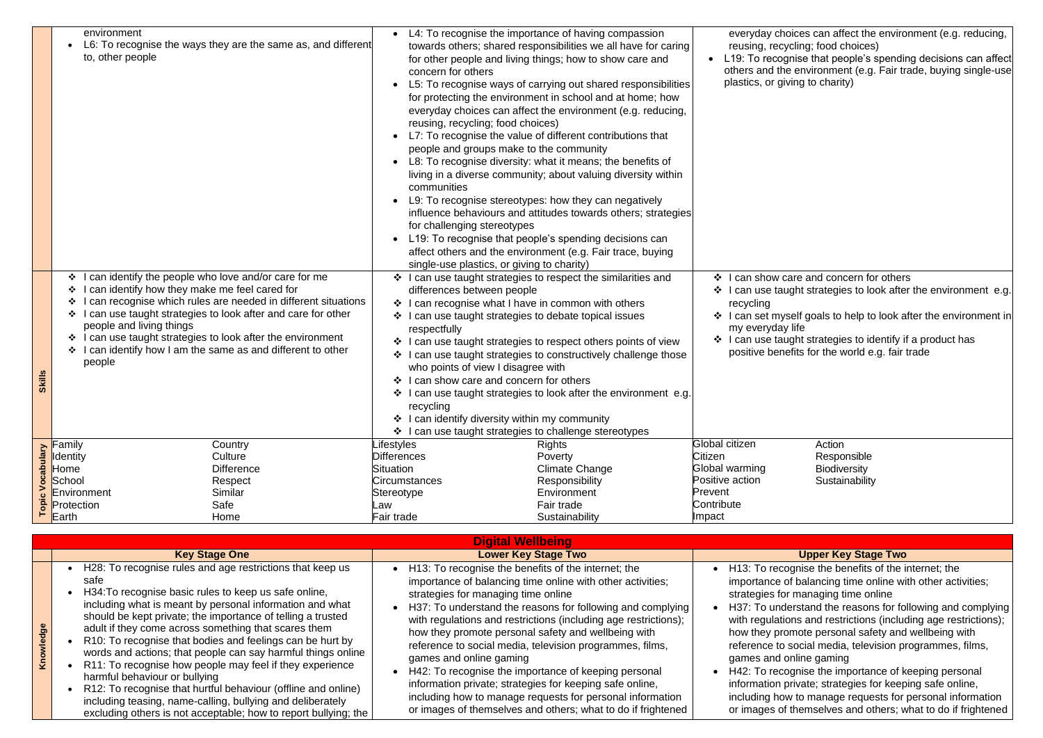|              | environment<br>to, other people<br>❖<br>I can identify how they make me feel cared for<br>❖<br>❖<br>❖<br>people and living things<br>$\cdot$<br>$\cdot$<br>people | L6: To recognise the ways they are the same as, and different<br>can identify the people who love and/or care for me<br>can recognise which rules are needed in different situations<br>I can use taught strategies to look after and care for other<br>I can use taught strategies to look after the environment<br>I can identify how I am the same as and different to other | ❖<br>❖                    | concern for others<br>reusing, recycling; food choices)<br>people and groups make to the community<br>communities<br>for challenging stereotypes<br>single-use plastics, or giving to charity)<br>differences between people<br>❖ I can recognise what I have in common with others<br>I can use taught strategies to debate topical issues<br>respectfully<br>who points of view I disagree with<br>❖ I can show care and concern for others<br>recycling<br>I can identify diversity within my community<br>can use taught strategies to challenge stereotypes | L4: To recognise the importance of having compassion<br>towards others; shared responsibilities we all have for caring<br>for other people and living things; how to show care and<br>L5: To recognise ways of carrying out shared responsibilities<br>for protecting the environment in school and at home; how<br>everyday choices can affect the environment (e.g. reducing,<br>L7: To recognise the value of different contributions that<br>L8: To recognise diversity: what it means; the benefits of<br>living in a diverse community; about valuing diversity within<br>L9: To recognise stereotypes: how they can negatively<br>influence behaviours and attitudes towards others; strategies<br>L19: To recognise that people's spending decisions can<br>affect others and the environment (e.g. Fair trace, buying<br>❖ I can use taught strategies to respect the similarities and<br>❖ I can use taught strategies to respect others points of view<br>I can use taught strategies to constructively challenge those<br>❖ I can use taught strategies to look after the environment e.g. | ❖          | everyday cho<br>reusing, recy<br>L19: To recogi<br>others and the<br>plastics, or giv<br>I can show ca<br>❖ I can use tau<br>recycling<br>❖ I can set mys<br>my everyday<br>❖ I can use taug<br>positive bene |
|--------------|-------------------------------------------------------------------------------------------------------------------------------------------------------------------|---------------------------------------------------------------------------------------------------------------------------------------------------------------------------------------------------------------------------------------------------------------------------------------------------------------------------------------------------------------------------------|---------------------------|------------------------------------------------------------------------------------------------------------------------------------------------------------------------------------------------------------------------------------------------------------------------------------------------------------------------------------------------------------------------------------------------------------------------------------------------------------------------------------------------------------------------------------------------------------------|--------------------------------------------------------------------------------------------------------------------------------------------------------------------------------------------------------------------------------------------------------------------------------------------------------------------------------------------------------------------------------------------------------------------------------------------------------------------------------------------------------------------------------------------------------------------------------------------------------------------------------------------------------------------------------------------------------------------------------------------------------------------------------------------------------------------------------------------------------------------------------------------------------------------------------------------------------------------------------------------------------------------------------------------------------------------------------------------------------|------------|---------------------------------------------------------------------------------------------------------------------------------------------------------------------------------------------------------------|
|              | Family                                                                                                                                                            | Country                                                                                                                                                                                                                                                                                                                                                                         | Lifestyles                |                                                                                                                                                                                                                                                                                                                                                                                                                                                                                                                                                                  | <b>Rights</b>                                                                                                                                                                                                                                                                                                                                                                                                                                                                                                                                                                                                                                                                                                                                                                                                                                                                                                                                                                                                                                                                                          |            | Global citizen                                                                                                                                                                                                |
| <b>Aremq</b> | <b>Identity</b>                                                                                                                                                   | Culture                                                                                                                                                                                                                                                                                                                                                                         | <b>Differences</b>        |                                                                                                                                                                                                                                                                                                                                                                                                                                                                                                                                                                  | Poverty                                                                                                                                                                                                                                                                                                                                                                                                                                                                                                                                                                                                                                                                                                                                                                                                                                                                                                                                                                                                                                                                                                | Citizen    |                                                                                                                                                                                                               |
|              | Home                                                                                                                                                              | <b>Difference</b>                                                                                                                                                                                                                                                                                                                                                               | Situation                 |                                                                                                                                                                                                                                                                                                                                                                                                                                                                                                                                                                  | <b>Climate Change</b>                                                                                                                                                                                                                                                                                                                                                                                                                                                                                                                                                                                                                                                                                                                                                                                                                                                                                                                                                                                                                                                                                  |            | Global warming                                                                                                                                                                                                |
| ٥            | School                                                                                                                                                            | Respect                                                                                                                                                                                                                                                                                                                                                                         |                           | <b>Circumstances</b>                                                                                                                                                                                                                                                                                                                                                                                                                                                                                                                                             | Responsibility                                                                                                                                                                                                                                                                                                                                                                                                                                                                                                                                                                                                                                                                                                                                                                                                                                                                                                                                                                                                                                                                                         |            | Positive action                                                                                                                                                                                               |
|              | Environment                                                                                                                                                       | Similar                                                                                                                                                                                                                                                                                                                                                                         | Environment<br>Stereotype |                                                                                                                                                                                                                                                                                                                                                                                                                                                                                                                                                                  |                                                                                                                                                                                                                                                                                                                                                                                                                                                                                                                                                                                                                                                                                                                                                                                                                                                                                                                                                                                                                                                                                                        | Prevent    |                                                                                                                                                                                                               |
| ō<br>Ō       | Protection                                                                                                                                                        | Safe                                                                                                                                                                                                                                                                                                                                                                            | Law                       |                                                                                                                                                                                                                                                                                                                                                                                                                                                                                                                                                                  | Fair trade                                                                                                                                                                                                                                                                                                                                                                                                                                                                                                                                                                                                                                                                                                                                                                                                                                                                                                                                                                                                                                                                                             | Contribute |                                                                                                                                                                                                               |
|              | Earth                                                                                                                                                             | Home                                                                                                                                                                                                                                                                                                                                                                            | Fair trade                |                                                                                                                                                                                                                                                                                                                                                                                                                                                                                                                                                                  | Sustainability                                                                                                                                                                                                                                                                                                                                                                                                                                                                                                                                                                                                                                                                                                                                                                                                                                                                                                                                                                                                                                                                                         | Impact     |                                                                                                                                                                                                               |
|              |                                                                                                                                                                   |                                                                                                                                                                                                                                                                                                                                                                                 |                           |                                                                                                                                                                                                                                                                                                                                                                                                                                                                                                                                                                  |                                                                                                                                                                                                                                                                                                                                                                                                                                                                                                                                                                                                                                                                                                                                                                                                                                                                                                                                                                                                                                                                                                        |            |                                                                                                                                                                                                               |

Action Responsible **Biodiversity Sustainability** 

## **Key Stage Two**

gnise the benefits of the internet; the f balancing time online with other activities; managing time online

erstand the reasons for following and complying ns and restrictions (including age restrictions); mote personal safety and wellbeing with social media, television programmes, films,

nline gaming gnise the importance of keeping personal rivate; strategies for keeping safe online,

 $\alpha$  to manage requests for personal information themselves and others; what to do if frightened

|                                                                                                                                                                                                                                                                                                                                                                                                                                                                                                                                                                                                                                                                                                                                           | <b>Digital Wellbeing</b>                                                                                                                                                                                                                                                                                                                                                                                                                                                                                                                                                                                                                                                                                |                                                                                                                                                                                                                           |
|-------------------------------------------------------------------------------------------------------------------------------------------------------------------------------------------------------------------------------------------------------------------------------------------------------------------------------------------------------------------------------------------------------------------------------------------------------------------------------------------------------------------------------------------------------------------------------------------------------------------------------------------------------------------------------------------------------------------------------------------|---------------------------------------------------------------------------------------------------------------------------------------------------------------------------------------------------------------------------------------------------------------------------------------------------------------------------------------------------------------------------------------------------------------------------------------------------------------------------------------------------------------------------------------------------------------------------------------------------------------------------------------------------------------------------------------------------------|---------------------------------------------------------------------------------------------------------------------------------------------------------------------------------------------------------------------------|
| <b>Key Stage One</b>                                                                                                                                                                                                                                                                                                                                                                                                                                                                                                                                                                                                                                                                                                                      | <b>Lower Key Stage Two</b>                                                                                                                                                                                                                                                                                                                                                                                                                                                                                                                                                                                                                                                                              |                                                                                                                                                                                                                           |
| H28: To recognise rules and age restrictions that keep us<br>safe<br>H34: To recognise basic rules to keep us safe online,<br>including what is meant by personal information and what<br>should be kept private; the importance of telling a trusted<br>adult if they come across something that scares them<br>R10: To recognise that bodies and feelings can be hurt by<br>words and actions; that people can say harmful things online<br>R11: To recognise how people may feel if they experience<br>harmful behaviour or bullying<br>R12: To recognise that hurtful behaviour (offline and online)<br>including teasing, name-calling, bullying and deliberately<br>excluding others is not acceptable; how to report bullying; the | • H13: To recognise the benefits of the internet; the<br>importance of balancing time online with other activities;<br>strategies for managing time online<br>H37: To understand the reasons for following and complying<br>$\bullet$<br>with regulations and restrictions (including age restrictions);<br>how they promote personal safety and wellbeing with<br>reference to social media, television programmes, films,<br>games and online gaming<br>H42: To recognise the importance of keeping personal<br>information private; strategies for keeping safe online,<br>including how to manage requests for personal information<br>or images of themselves and others; what to do if frightened | H <sub>13</sub> : To recod<br>importance of<br>strategies for<br>H37: To unde<br>with regulation<br>how they pror<br>reference to s<br>games and or<br>H42: To recog<br>information pr<br>including how<br>or images of t |

bices can affect the environment (e.g. reducing, rcling; food choices) ) inise that people's spending decisions can affect environment (e.g. Fair trade, buying single-use ing to charity)

are and concern for others ght strategies to look after the environment e.g.

self goals to help to look after the environment in $\mid$ life

ight strategies to identify if a product has give benefits for the world e.g. fair trade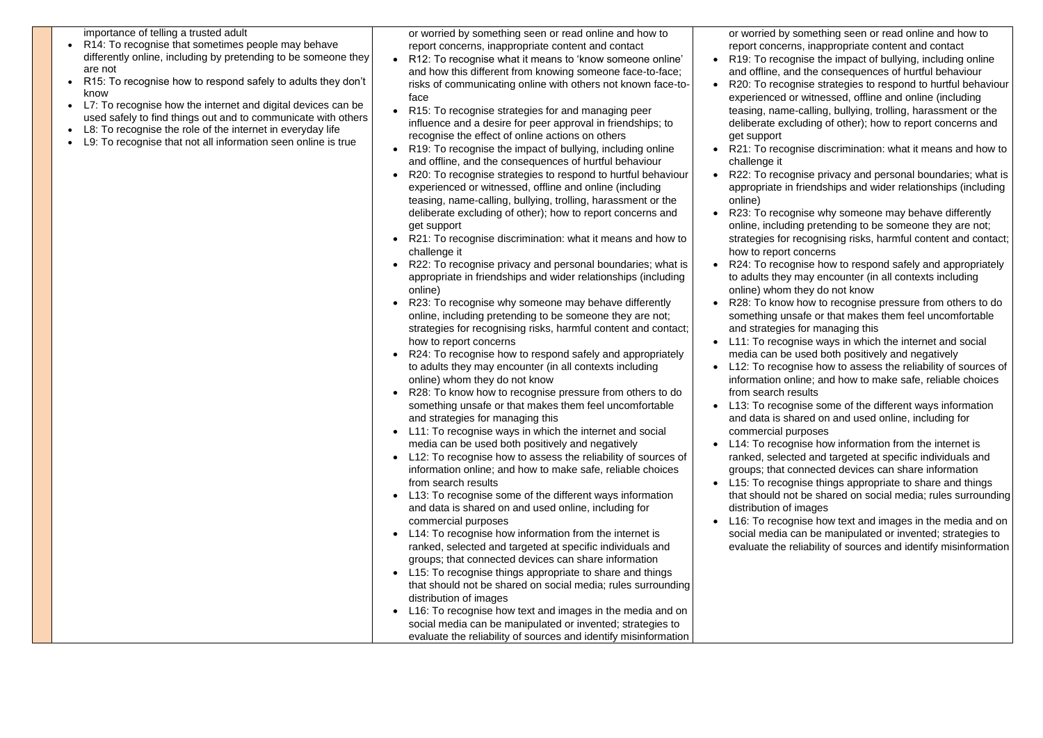importance of telling a trusted adult

- R14: To recognise that sometimes people may behave differently online, including by pretending to be someone they are not
- R15: To recognise how to respond safely to adults they don't know
- L7: To recognise how the internet and digital devices can be used safely to find things out and to communicate with others
- L8: To recognise the role of the internet in everyday life
- L9: To recognise that not all information seen online is true

or worried by something seen or read online and how to report concerns, inappropriate content and contact

- R12: To recognise what it means to 'know someone online' and how this different from knowing someone face-to-face; risks of communicating online with others not known face-toface
- R15: To recognise strategies for and managing peer influence and a desire for peer approval in friendships; to recognise the effect of online actions on others
- R19: To recognise the impact of bullying, including online and offline, and the consequences of hurtful behaviour
- R20: To recognise strategies to respond to hurtful behaviour experienced or witnessed, offline and online (including teasing, name-calling, bullying, trolling, harassment or the deliberate excluding of other); how to report concerns and get support
- R21: To recognise discrimination: what it means and how to challenge it
- R22: To recognise privacy and personal boundaries; what is appropriate in friendships and wider relationships (including online)
- R23: To recognise why someone may behave differently online, including pretending to be someone they are not; strategies for recognising risks, harmful content and contact; how to report concerns
- R24: To recognise how to respond safely and appropriately to adults they may encounter (in all contexts including online) whom they do not know
- R28: To know how to recognise pressure from others to do something unsafe or that makes them feel uncomfortable and strategies for managing this
- L11: To recognise ways in which the internet and social media can be used both positively and negatively
- L12: To recognise how to assess the reliability of sources of information online; and how to make safe, reliable choices from search results
- L13: To recognise some of the different ways information and data is shared on and used online, including for commercial purposes
- L14: To recognise how information from the internet is ranked, selected and targeted at specific individuals and groups; that connected devices can share information
- L15: To recognise things appropriate to share and things that should not be shared on social media; rules surrounding distribution of images
- L16: To recognise how text and images in the media and on social media can be manipulated or invented; strategies to evaluate the reliability of sources and identify misinformation

• L14: To recognise how information from the internet is ranked, selected and targeted at specific individuals and groups; that connected devices can share information L15: To recognise things appropriate to share and things

or worried by something seen or read online and how to report concerns, inappropriate content and contact • R19: To recognise the impact of bullying, including online and offline, and the consequences of hurtful behaviour • R20: To recognise strategies to respond to hurtful behaviour experienced or witnessed, offline and online (including teasing, name-calling, bullying, trolling, harassment or the deliberate excluding of other); how to report concerns and

• R21: To recognise discrimination: what it means and how to

• R22: To recognise privacy and personal boundaries; what is appropriate in friendships and wider relationships (including

• R23: To recognise why someone may behave differently online, including pretending to be someone they are not; strategies for recognising risks, harmful content and contact;

• R24: To recognise how to respond safely and appropriately to adults they may encounter (in all contexts including online) whom they do not know

• R28: To know how to recognise pressure from others to do something unsafe or that makes them feel uncomfortable and strategies for managing this

- 
- get support
- challenge it
- online)
- how to report concerns
- 
- 
- - from search results
- commercial purposes
- 
- distribution of images
- 

• L11: To recognise ways in which the internet and social media can be used both positively and negatively

• L12: To recognise how to assess the reliability of sources of information online; and how to make safe, reliable choices

• L13: To recognise some of the different ways information and data is shared on and used online, including for

that should not be shared on social media; rules surrounding

• L16: To recognise how text and images in the media and on social media can be manipulated or invented; strategies to evaluate the reliability of sources and identify misinformation